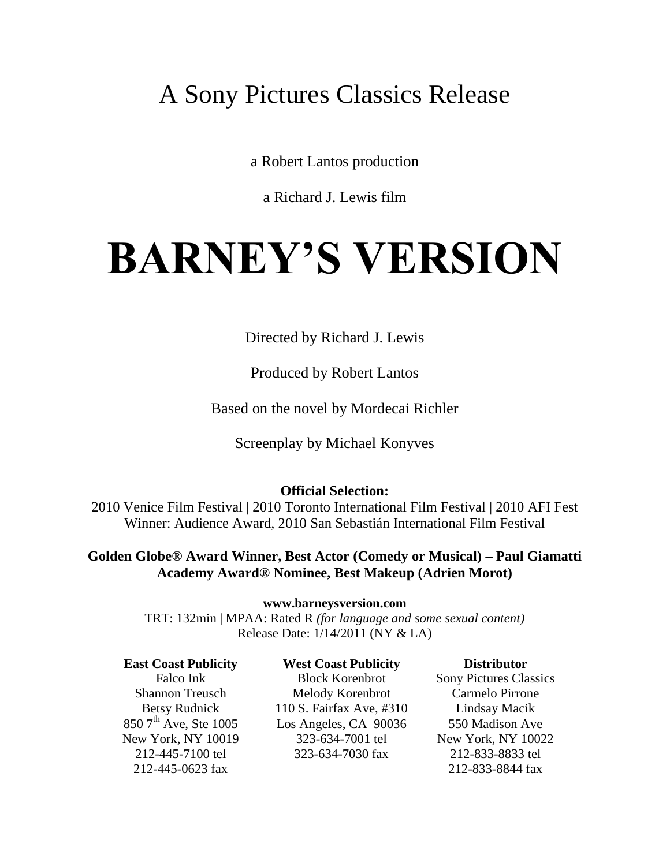# A Sony Pictures Classics Release

a Robert Lantos production

a Richard J. Lewis film

# **BARNEY'S VERSION**

Directed by Richard J. Lewis

Produced by Robert Lantos

Based on the novel by Mordecai Richler

Screenplay by Michael Konyves

#### **Official Selection:**

2010 Venice Film Festival | 2010 Toronto International Film Festival | 2010 AFI Fest Winner: Audience Award, 2010 San Sebastián International Film Festival

**Golden Globe® Award Winner, Best Actor (Comedy or Musical) – Paul Giamatti Academy Award® Nominee, Best Makeup (Adrien Morot)**

**www.barneysversion.com**

TRT: 132min | MPAA: Rated R *(for language and some sexual content)* Release Date: 1/14/2011 (NY & LA)

**East Coast Publicity**  Falco Ink Shannon Treusch Betsy Rudnick  $850$  7<sup>th</sup> Ave, Ste 1005 New York, NY 10019 212-445-7100 tel 212-445-0623 fax

**West Coast Publicity**

Block Korenbrot Melody Korenbrot 110 S. Fairfax Ave, #310 Los Angeles, CA 90036 323-634-7001 tel 323-634-7030 fax

 **Distributor** Sony Pictures Classics Carmelo Pirrone Lindsay Macik 550 Madison Ave New York, NY 10022 212-833-8833 tel 212-833-8844 fax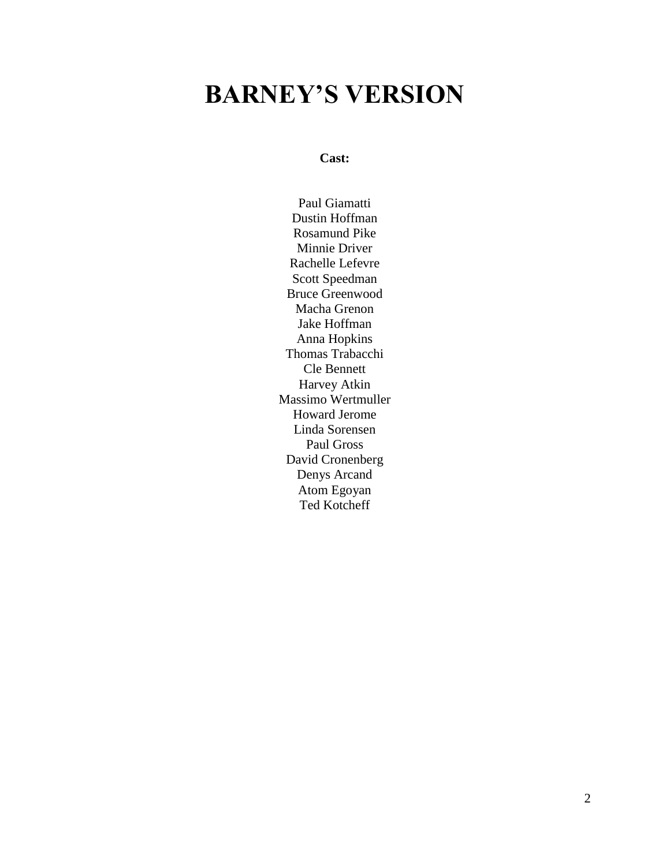# **BARNEY'S VERSION**

**Cast:**

Paul Giamatti Dustin Hoffman Rosamund Pike Minnie Driver Rachelle Lefevre Scott Speedman Bruce Greenwood Macha Grenon Jake Hoffman Anna Hopkins Thomas Trabacchi Cle Bennett Harvey Atkin Massimo Wertmuller Howard Jerome Linda Sorensen Paul Gross David Cronenberg Denys Arcand Atom Egoyan Ted Kotcheff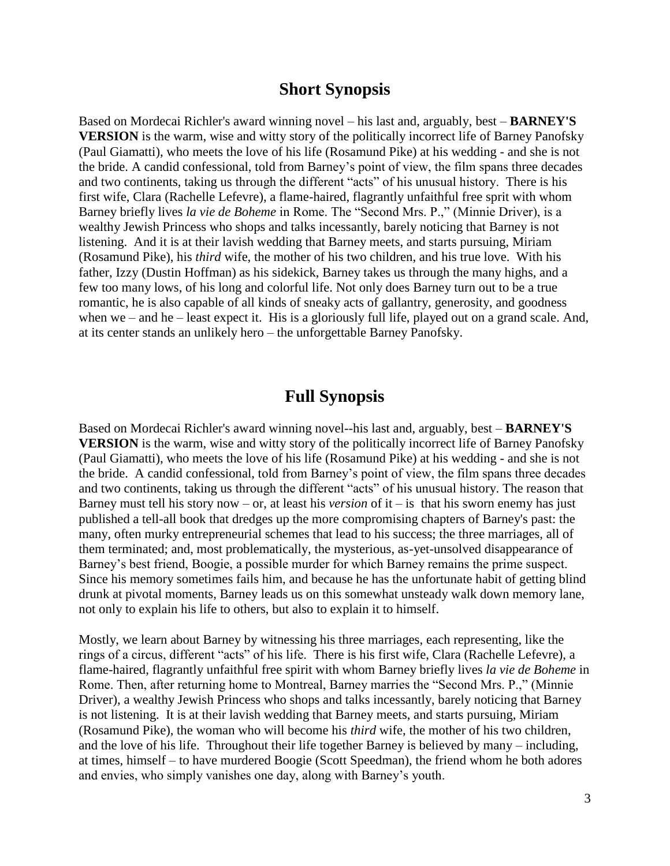#### **Short Synopsis**

Based on Mordecai Richler's award winning novel – his last and, arguably, best – **BARNEY'S VERSION** is the warm, wise and witty story of the politically incorrect life of Barney Panofsky (Paul Giamatti), who meets the love of his life (Rosamund Pike) at his wedding - and she is not the bride. A candid confessional, told from Barney's point of view, the film spans three decades and two continents, taking us through the different "acts" of his unusual history. There is his first wife, Clara (Rachelle Lefevre), a flame-haired, flagrantly unfaithful free sprit with whom Barney briefly lives *la vie de Boheme* in Rome. The "Second Mrs. P.," (Minnie Driver), is a wealthy Jewish Princess who shops and talks incessantly, barely noticing that Barney is not listening. And it is at their lavish wedding that Barney meets, and starts pursuing, Miriam (Rosamund Pike), his *third* wife, the mother of his two children, and his true love. With his father, Izzy (Dustin Hoffman) as his sidekick, Barney takes us through the many highs, and a few too many lows, of his long and colorful life. Not only does Barney turn out to be a true romantic, he is also capable of all kinds of sneaky acts of gallantry, generosity, and goodness when we – and he – least expect it. His is a gloriously full life, played out on a grand scale. And, at its center stands an unlikely hero – the unforgettable Barney Panofsky.

#### **Full Synopsis**

Based on Mordecai Richler's award winning novel--his last and, arguably, best – **BARNEY'S VERSION** is the warm, wise and witty story of the politically incorrect life of Barney Panofsky (Paul Giamatti), who meets the love of his life (Rosamund Pike) at his wedding - and she is not the bride. A candid confessional, told from Barney's point of view, the film spans three decades and two continents, taking us through the different "acts" of his unusual history. The reason that Barney must tell his story now – or, at least his *version* of it – is that his sworn enemy has just published a tell-all book that dredges up the more compromising chapters of Barney's past: the many, often murky entrepreneurial schemes that lead to his success; the three marriages, all of them terminated; and, most problematically, the mysterious, as-yet-unsolved disappearance of Barney's best friend, Boogie, a possible murder for which Barney remains the prime suspect. Since his memory sometimes fails him, and because he has the unfortunate habit of getting blind drunk at pivotal moments, Barney leads us on this somewhat unsteady walk down memory lane, not only to explain his life to others, but also to explain it to himself.

Mostly, we learn about Barney by witnessing his three marriages, each representing, like the rings of a circus, different "acts" of his life. There is his first wife, Clara (Rachelle Lefevre), a flame-haired, flagrantly unfaithful free spirit with whom Barney briefly lives *la vie de Boheme* in Rome. Then, after returning home to Montreal, Barney marries the "Second Mrs. P.," (Minnie Driver), a wealthy Jewish Princess who shops and talks incessantly, barely noticing that Barney is not listening. It is at their lavish wedding that Barney meets, and starts pursuing, Miriam (Rosamund Pike), the woman who will become his *third* wife, the mother of his two children, and the love of his life. Throughout their life together Barney is believed by many – including, at times, himself – to have murdered Boogie (Scott Speedman), the friend whom he both adores and envies, who simply vanishes one day, along with Barney's youth.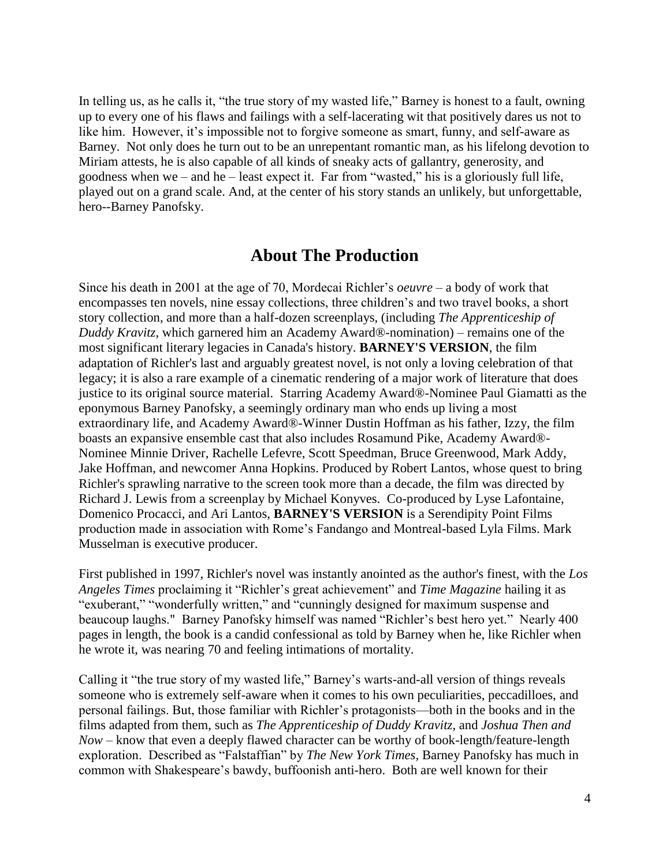In telling us, as he calls it, "the true story of my wasted life," Barney is honest to a fault, owning up to every one of his flaws and failings with a self-lacerating wit that positively dares us not to like him. However, it's impossible not to forgive someone as smart, funny, and self-aware as Barney. Not only does he turn out to be an unrepentant romantic man, as his lifelong devotion to Miriam attests, he is also capable of all kinds of sneaky acts of gallantry, generosity, and goodness when we – and he – least expect it. Far from "wasted," his is a gloriously full life, played out on a grand scale. And, at the center of his story stands an unlikely, but unforgettable, hero--Barney Panofsky.

#### **About The Production**

Since his death in 2001 at the age of 70, Mordecai Richler's *oeuvre –* a body of work that encompasses ten novels, nine essay collections, three children's and two travel books, a short story collection, and more than a half-dozen screenplays, (including *The Apprenticeship of Duddy Kravitz*, which garnered him an Academy Award®-nomination) – remains one of the most significant literary legacies in Canada's history. **BARNEY'S VERSION**, the film adaptation of Richler's last and arguably greatest novel, is not only a loving celebration of that legacy; it is also a rare example of a cinematic rendering of a major work of literature that does justice to its original source material. Starring Academy Award®-Nominee Paul Giamatti as the eponymous Barney Panofsky, a seemingly ordinary man who ends up living a most extraordinary life, and Academy Award®-Winner Dustin Hoffman as his father, Izzy, the film boasts an expansive ensemble cast that also includes Rosamund Pike, Academy Award®- Nominee Minnie Driver, Rachelle Lefevre, Scott Speedman, Bruce Greenwood, Mark Addy, Jake Hoffman, and newcomer Anna Hopkins. Produced by Robert Lantos, whose quest to bring Richler's sprawling narrative to the screen took more than a decade, the film was directed by Richard J. Lewis from a screenplay by Michael Konyves. Co-produced by Lyse Lafontaine, Domenico Procacci, and Ari Lantos, **BARNEY'S VERSION** is a Serendipity Point Films production made in association with Rome's Fandango and Montreal-based Lyla Films. Mark Musselman is executive producer.

First published in 1997, Richler's novel was instantly anointed as the author's finest, with the *Los*  Angeles Times proclaiming it "Richler's great achievement" and *Time Magazine* hailing it as "exuberant," "wonderfully written," and "cunningly designed for maximum suspense and beaucoup laughs." Barney Panofsky himself was named "Richler's best hero yet." Nearly 400 pages in length, the book is a candid confessional as told by Barney when he, like Richler when he wrote it, was nearing 70 and feeling intimations of mortality.

Calling it "the true story of my wasted life," Barney's warts-and-all version of things reveals someone who is extremely self-aware when it comes to his own peculiarities, peccadilloes, and personal failings. But, those familiar with Richler's protagonists—both in the books and in the films adapted from them, such as *The Apprenticeship of Duddy Kravitz*, and *Joshua Then and Now* – know that even a deeply flawed character can be worthy of book-length/feature-length exploration. Described as "Falstaffian" by *The New York Times*, Barney Panofsky has much in common with Shakespeare's bawdy, buffoonish anti-hero. Both are well known for their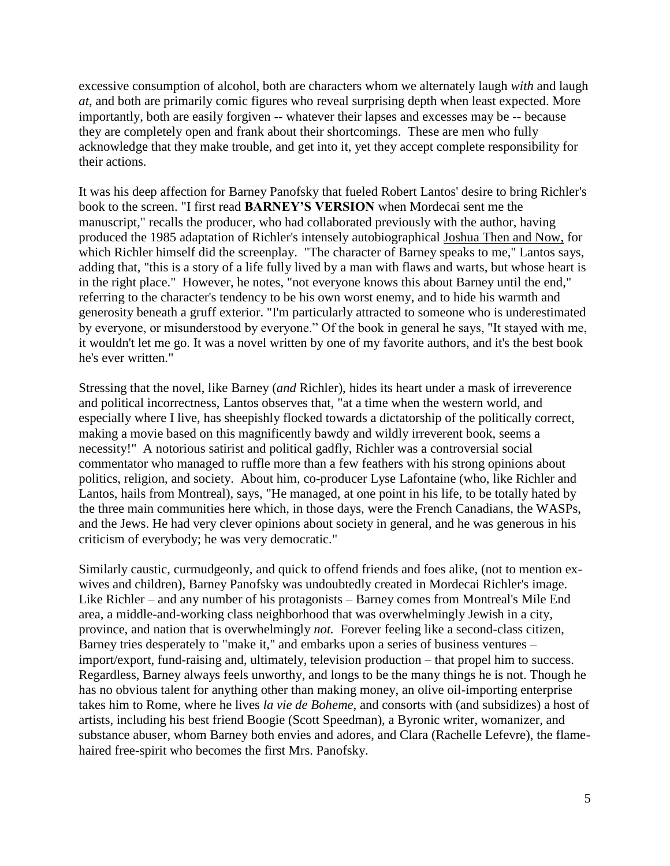excessive consumption of alcohol, both are characters whom we alternately laugh *with* and laugh *at*, and both are primarily comic figures who reveal surprising depth when least expected. More importantly, both are easily forgiven -- whatever their lapses and excesses may be -- because they are completely open and frank about their shortcomings. These are men who fully acknowledge that they make trouble, and get into it, yet they accept complete responsibility for their actions.

It was his deep affection for Barney Panofsky that fueled Robert Lantos' desire to bring Richler's book to the screen. "I first read **BARNEY'S VERSION** when Mordecai sent me the manuscript," recalls the producer, who had collaborated previously with the author, having produced the 1985 adaptation of Richler's intensely autobiographical Joshua Then and Now, for which Richler himself did the screenplay. "The character of Barney speaks to me," Lantos says, adding that, "this is a story of a life fully lived by a man with flaws and warts, but whose heart is in the right place." However, he notes, "not everyone knows this about Barney until the end," referring to the character's tendency to be his own worst enemy, and to hide his warmth and generosity beneath a gruff exterior. "I'm particularly attracted to someone who is underestimated by everyone, or misunderstood by everyone." Of the book in general he says, "It stayed with me, it wouldn't let me go. It was a novel written by one of my favorite authors, and it's the best book he's ever written."

Stressing that the novel, like Barney (*and* Richler), hides its heart under a mask of irreverence and political incorrectness, Lantos observes that, "at a time when the western world, and especially where I live, has sheepishly flocked towards a dictatorship of the politically correct, making a movie based on this magnificently bawdy and wildly irreverent book, seems a necessity!" A notorious satirist and political gadfly, Richler was a controversial social commentator who managed to ruffle more than a few feathers with his strong opinions about politics, religion, and society. About him, co-producer Lyse Lafontaine (who, like Richler and Lantos, hails from Montreal), says, "He managed, at one point in his life, to be totally hated by the three main communities here which, in those days, were the French Canadians, the WASPs, and the Jews. He had very clever opinions about society in general, and he was generous in his criticism of everybody; he was very democratic."

Similarly caustic, curmudgeonly, and quick to offend friends and foes alike, (not to mention exwives and children), Barney Panofsky was undoubtedly created in Mordecai Richler's image. Like Richler – and any number of his protagonists – Barney comes from Montreal's Mile End area, a middle-and-working class neighborhood that was overwhelmingly Jewish in a city, province, and nation that is overwhelmingly *not.* Forever feeling like a second-class citizen, Barney tries desperately to "make it," and embarks upon a series of business ventures – import/export, fund-raising and, ultimately, television production – that propel him to success. Regardless, Barney always feels unworthy, and longs to be the many things he is not. Though he has no obvious talent for anything other than making money, an olive oil-importing enterprise takes him to Rome, where he lives *la vie de Boheme,* and consorts with (and subsidizes) a host of artists, including his best friend Boogie (Scott Speedman), a Byronic writer, womanizer, and substance abuser, whom Barney both envies and adores, and Clara (Rachelle Lefevre), the flamehaired free-spirit who becomes the first Mrs. Panofsky.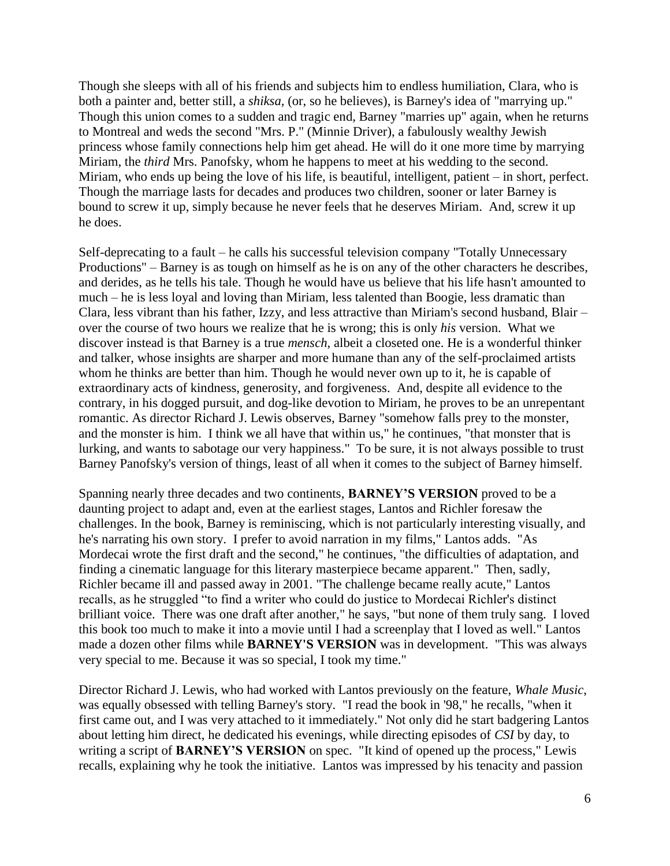Though she sleeps with all of his friends and subjects him to endless humiliation, Clara, who is both a painter and, better still, a *shiksa,* (or, so he believes), is Barney's idea of "marrying up." Though this union comes to a sudden and tragic end, Barney "marries up" again, when he returns to Montreal and weds the second "Mrs. P." (Minnie Driver), a fabulously wealthy Jewish princess whose family connections help him get ahead. He will do it one more time by marrying Miriam, the *third* Mrs. Panofsky, whom he happens to meet at his wedding to the second. Miriam, who ends up being the love of his life, is beautiful, intelligent, patient – in short, perfect. Though the marriage lasts for decades and produces two children, sooner or later Barney is bound to screw it up, simply because he never feels that he deserves Miriam. And, screw it up he does.

Self-deprecating to a fault – he calls his successful television company "Totally Unnecessary Productions" – Barney is as tough on himself as he is on any of the other characters he describes, and derides, as he tells his tale. Though he would have us believe that his life hasn't amounted to much – he is less loyal and loving than Miriam, less talented than Boogie, less dramatic than Clara, less vibrant than his father, Izzy, and less attractive than Miriam's second husband, Blair – over the course of two hours we realize that he is wrong; this is only *his* version. What we discover instead is that Barney is a true *mensch,* albeit a closeted one. He is a wonderful thinker and talker, whose insights are sharper and more humane than any of the self-proclaimed artists whom he thinks are better than him. Though he would never own up to it, he is capable of extraordinary acts of kindness, generosity, and forgiveness. And, despite all evidence to the contrary, in his dogged pursuit, and dog-like devotion to Miriam, he proves to be an unrepentant romantic. As director Richard J. Lewis observes, Barney "somehow falls prey to the monster, and the monster is him. I think we all have that within us," he continues, "that monster that is lurking, and wants to sabotage our very happiness." To be sure, it is not always possible to trust Barney Panofsky's version of things, least of all when it comes to the subject of Barney himself.

Spanning nearly three decades and two continents, **BARNEY'S VERSION** proved to be a daunting project to adapt and, even at the earliest stages, Lantos and Richler foresaw the challenges. In the book, Barney is reminiscing, which is not particularly interesting visually, and he's narrating his own story. I prefer to avoid narration in my films," Lantos adds. "As Mordecai wrote the first draft and the second," he continues, "the difficulties of adaptation, and finding a cinematic language for this literary masterpiece became apparent." Then, sadly, Richler became ill and passed away in 2001. "The challenge became really acute," Lantos recalls, as he struggled "to find a writer who could do justice to Mordecai Richler's distinct brilliant voice. There was one draft after another," he says, "but none of them truly sang. I loved this book too much to make it into a movie until I had a screenplay that I loved as well." Lantos made a dozen other films while **BARNEY'S VERSION** was in development. "This was always very special to me. Because it was so special, I took my time."

Director Richard J. Lewis, who had worked with Lantos previously on the feature, *Whale Music*, was equally obsessed with telling Barney's story. "I read the book in '98," he recalls, "when it first came out, and I was very attached to it immediately." Not only did he start badgering Lantos about letting him direct, he dedicated his evenings, while directing episodes of *CSI* by day, to writing a script of **BARNEY'S VERSION** on spec. "It kind of opened up the process," Lewis recalls, explaining why he took the initiative. Lantos was impressed by his tenacity and passion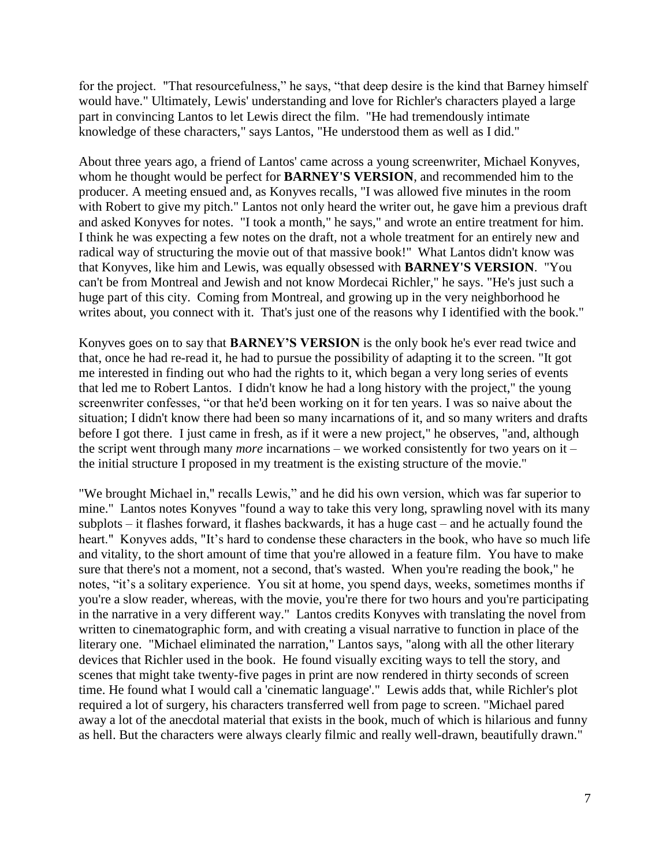for the project. "That resourcefulness," he says, "that deep desire is the kind that Barney himself would have." Ultimately, Lewis' understanding and love for Richler's characters played a large part in convincing Lantos to let Lewis direct the film. "He had tremendously intimate knowledge of these characters," says Lantos, "He understood them as well as I did."

About three years ago, a friend of Lantos' came across a young screenwriter, Michael Konyves, whom he thought would be perfect for **BARNEY'S VERSION**, and recommended him to the producer. A meeting ensued and, as Konyves recalls, "I was allowed five minutes in the room with Robert to give my pitch." Lantos not only heard the writer out, he gave him a previous draft and asked Konyves for notes. "I took a month," he says," and wrote an entire treatment for him. I think he was expecting a few notes on the draft, not a whole treatment for an entirely new and radical way of structuring the movie out of that massive book!" What Lantos didn't know was that Konyves, like him and Lewis, was equally obsessed with **BARNEY'S VERSION**. "You can't be from Montreal and Jewish and not know Mordecai Richler," he says. "He's just such a huge part of this city. Coming from Montreal, and growing up in the very neighborhood he writes about, you connect with it. That's just one of the reasons why I identified with the book."

Konyves goes on to say that **BARNEY'S VERSION** is the only book he's ever read twice and that, once he had re-read it, he had to pursue the possibility of adapting it to the screen. "It got me interested in finding out who had the rights to it, which began a very long series of events that led me to Robert Lantos. I didn't know he had a long history with the project," the young screenwriter confesses, "or that he'd been working on it for ten years. I was so naive about the situation; I didn't know there had been so many incarnations of it, and so many writers and drafts before I got there. I just came in fresh, as if it were a new project," he observes, "and, although the script went through many *more* incarnations – we worked consistently for two years on it – the initial structure I proposed in my treatment is the existing structure of the movie."

"We brought Michael in," recalls Lewis," and he did his own version, which was far superior to mine." Lantos notes Konyves "found a way to take this very long, sprawling novel with its many subplots – it flashes forward, it flashes backwards, it has a huge cast – and he actually found the heart." Konyves adds, "It's hard to condense these characters in the book, who have so much life and vitality, to the short amount of time that you're allowed in a feature film. You have to make sure that there's not a moment, not a second, that's wasted. When you're reading the book," he notes, "it's a solitary experience. You sit at home, you spend days, weeks, sometimes months if you're a slow reader, whereas, with the movie, you're there for two hours and you're participating in the narrative in a very different way." Lantos credits Konyves with translating the novel from written to cinematographic form, and with creating a visual narrative to function in place of the literary one. "Michael eliminated the narration," Lantos says, "along with all the other literary devices that Richler used in the book. He found visually exciting ways to tell the story, and scenes that might take twenty-five pages in print are now rendered in thirty seconds of screen time. He found what I would call a 'cinematic language'." Lewis adds that, while Richler's plot required a lot of surgery, his characters transferred well from page to screen. "Michael pared away a lot of the anecdotal material that exists in the book, much of which is hilarious and funny as hell. But the characters were always clearly filmic and really well-drawn, beautifully drawn."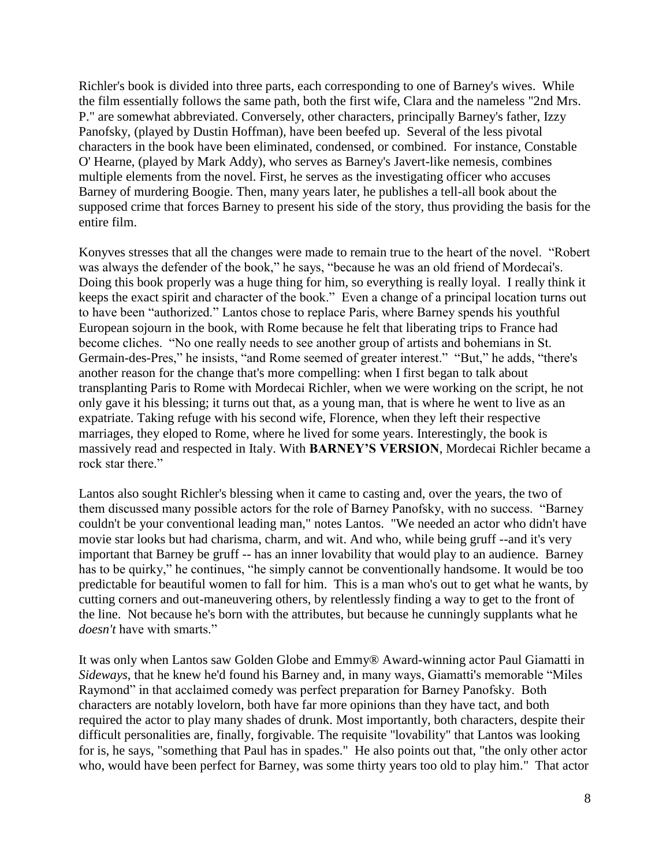Richler's book is divided into three parts, each corresponding to one of Barney's wives. While the film essentially follows the same path, both the first wife, Clara and the nameless "2nd Mrs. P." are somewhat abbreviated. Conversely, other characters, principally Barney's father, Izzy Panofsky, (played by Dustin Hoffman), have been beefed up. Several of the less pivotal characters in the book have been eliminated, condensed, or combined. For instance, Constable O' Hearne, (played by Mark Addy), who serves as Barney's Javert-like nemesis, combines multiple elements from the novel. First, he serves as the investigating officer who accuses Barney of murdering Boogie. Then, many years later, he publishes a tell-all book about the supposed crime that forces Barney to present his side of the story, thus providing the basis for the entire film.

Konyves stresses that all the changes were made to remain true to the heart of the novel. "Robert was always the defender of the book," he says, "because he was an old friend of Mordecai's. Doing this book properly was a huge thing for him, so everything is really loyal. I really think it keeps the exact spirit and character of the book." Even a change of a principal location turns out to have been "authorized." Lantos chose to replace Paris, where Barney spends his youthful European sojourn in the book, with Rome because he felt that liberating trips to France had become cliches. "No one really needs to see another group of artists and bohemians in St. Germain-des-Pres," he insists, "and Rome seemed of greater interest." "But," he adds, "there's another reason for the change that's more compelling: when I first began to talk about transplanting Paris to Rome with Mordecai Richler, when we were working on the script, he not only gave it his blessing; it turns out that, as a young man, that is where he went to live as an expatriate. Taking refuge with his second wife, Florence, when they left their respective marriages, they eloped to Rome, where he lived for some years. Interestingly, the book is massively read and respected in Italy. With **BARNEY'S VERSION**, Mordecai Richler became a rock star there."

Lantos also sought Richler's blessing when it came to casting and, over the years, the two of them discussed many possible actors for the role of Barney Panofsky, with no success. "Barney" couldn't be your conventional leading man," notes Lantos. "We needed an actor who didn't have movie star looks but had charisma, charm, and wit. And who, while being gruff --and it's very important that Barney be gruff -- has an inner lovability that would play to an audience. Barney has to be quirky," he continues, "he simply cannot be conventionally handsome. It would be too predictable for beautiful women to fall for him. This is a man who's out to get what he wants, by cutting corners and out-maneuvering others, by relentlessly finding a way to get to the front of the line. Not because he's born with the attributes, but because he cunningly supplants what he *doesn't* have with smarts."

It was only when Lantos saw Golden Globe and Emmy® Award-winning actor Paul Giamatti in *Sideways*, that he knew he'd found his Barney and, in many ways, Giamatti's memorable "Miles" Raymond" in that acclaimed comedy was perfect preparation for Barney Panofsky. Both characters are notably lovelorn, both have far more opinions than they have tact, and both required the actor to play many shades of drunk. Most importantly, both characters, despite their difficult personalities are, finally, forgivable. The requisite "lovability" that Lantos was looking for is, he says, "something that Paul has in spades." He also points out that, "the only other actor who, would have been perfect for Barney, was some thirty years too old to play him." That actor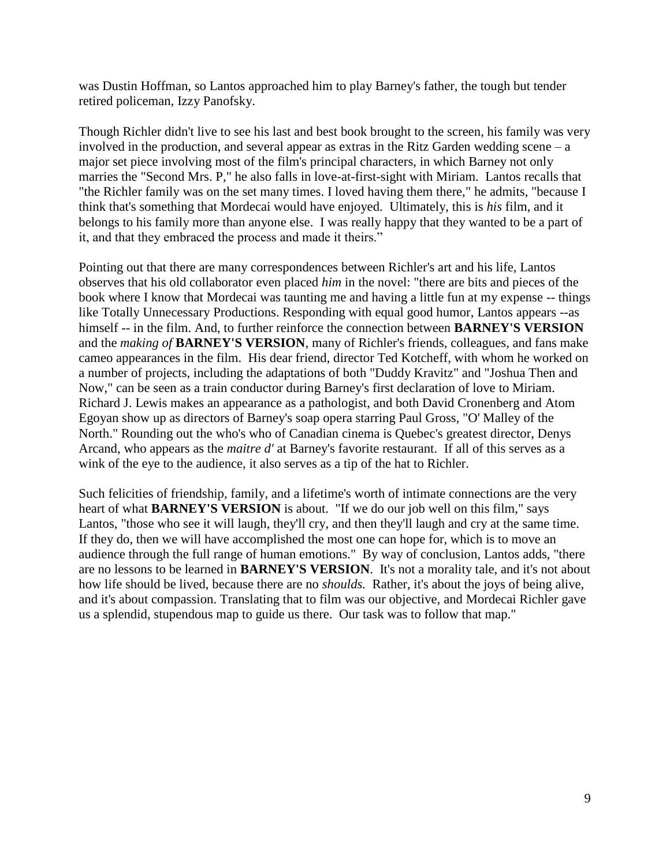was Dustin Hoffman, so Lantos approached him to play Barney's father, the tough but tender retired policeman, Izzy Panofsky.

Though Richler didn't live to see his last and best book brought to the screen, his family was very involved in the production, and several appear as extras in the Ritz Garden wedding scene  $-a$ major set piece involving most of the film's principal characters, in which Barney not only marries the "Second Mrs. P," he also falls in love-at-first-sight with Miriam. Lantos recalls that "the Richler family was on the set many times. I loved having them there," he admits, "because I think that's something that Mordecai would have enjoyed. Ultimately, this is *his* film, and it belongs to his family more than anyone else. I was really happy that they wanted to be a part of it, and that they embraced the process and made it theirs."

Pointing out that there are many correspondences between Richler's art and his life, Lantos observes that his old collaborator even placed *him* in the novel: "there are bits and pieces of the book where I know that Mordecai was taunting me and having a little fun at my expense -- things like Totally Unnecessary Productions. Responding with equal good humor, Lantos appears --as himself -- in the film. And, to further reinforce the connection between **BARNEY'S VERSION** and the *making of* **BARNEY'S VERSION**, many of Richler's friends, colleagues, and fans make cameo appearances in the film. His dear friend, director Ted Kotcheff, with whom he worked on a number of projects, including the adaptations of both "Duddy Kravitz" and "Joshua Then and Now," can be seen as a train conductor during Barney's first declaration of love to Miriam. Richard J. Lewis makes an appearance as a pathologist, and both David Cronenberg and Atom Egoyan show up as directors of Barney's soap opera starring Paul Gross, "O' Malley of the North." Rounding out the who's who of Canadian cinema is Quebec's greatest director, Denys Arcand, who appears as the *maitre d'* at Barney's favorite restaurant. If all of this serves as a wink of the eye to the audience, it also serves as a tip of the hat to Richler.

Such felicities of friendship, family, and a lifetime's worth of intimate connections are the very heart of what **BARNEY'S VERSION** is about. "If we do our job well on this film," says Lantos, "those who see it will laugh, they'll cry, and then they'll laugh and cry at the same time. If they do, then we will have accomplished the most one can hope for, which is to move an audience through the full range of human emotions." By way of conclusion, Lantos adds, "there are no lessons to be learned in **BARNEY'S VERSION**. It's not a morality tale, and it's not about how life should be lived, because there are no *shoulds.* Rather, it's about the joys of being alive, and it's about compassion. Translating that to film was our objective, and Mordecai Richler gave us a splendid, stupendous map to guide us there. Our task was to follow that map."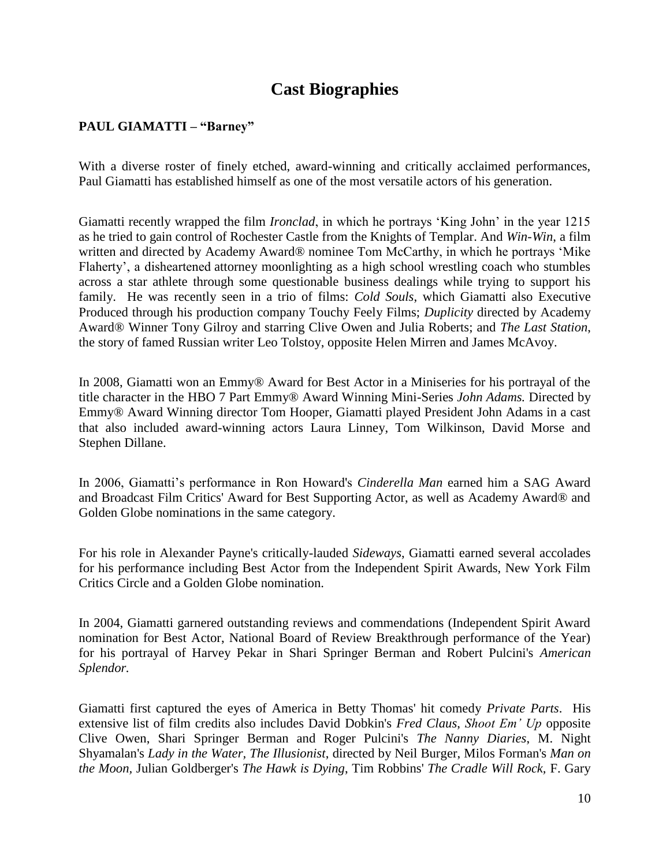## **Cast Biographies**

#### **PAUL GIAMATTI – "Barney"**

With a diverse roster of finely etched, award-winning and critically acclaimed performances, Paul Giamatti has established himself as one of the most versatile actors of his generation.

Giamatti recently wrapped the film *Ironclad*, in which he portrays 'King John' in the year 1215 as he tried to gain control of Rochester Castle from the Knights of Templar. And *Win-Win*, a film written and directed by Academy Award® nominee Tom McCarthy, in which he portrays 'Mike Flaherty', a disheartened attorney moonlighting as a high school wrestling coach who stumbles across a star athlete through some questionable business dealings while trying to support his family. He was recently seen in a trio of films: *Cold Souls*, which Giamatti also Executive Produced through his production company Touchy Feely Films; *Duplicity* directed by Academy Award® Winner Tony Gilroy and starring Clive Owen and Julia Roberts; and *The Last Station*, the story of famed Russian writer Leo Tolstoy, opposite Helen Mirren and James McAvoy.

In 2008, Giamatti won an Emmy® Award for Best Actor in a Miniseries for his portrayal of the title character in the HBO 7 Part Emmy® Award Winning Mini-Series *John Adams.* Directed by Emmy® Award Winning director Tom Hooper, Giamatti played President John Adams in a cast that also included award-winning actors Laura Linney, Tom Wilkinson, David Morse and Stephen Dillane.

In 2006, Giamatti's performance in Ron Howard's *Cinderella Man* earned him a SAG Award and Broadcast Film Critics' Award for Best Supporting Actor, as well as Academy Award® and Golden Globe nominations in the same category.

For his role in Alexander Payne's critically-lauded *Sideways*, Giamatti earned several accolades for his performance including Best Actor from the Independent Spirit Awards, New York Film Critics Circle and a Golden Globe nomination.

In 2004, Giamatti garnered outstanding reviews and commendations (Independent Spirit Award nomination for Best Actor, National Board of Review Breakthrough performance of the Year) for his portrayal of Harvey Pekar in Shari Springer Berman and Robert Pulcini's *American Splendor.*

Giamatti first captured the eyes of America in Betty Thomas' hit comedy *Private Parts*. His extensive list of film credits also includes David Dobkin's *Fred Claus*, *Shoot Em' Up* opposite Clive Owen, Shari Springer Berman and Roger Pulcini's *The Nanny Diaries*, M. Night Shyamalan's *Lady in the Water, The Illusionist*, directed by Neil Burger, Milos Forman's *Man on the Moon,* Julian Goldberger's *The Hawk is Dying*, Tim Robbins' *The Cradle Will Rock,* F. Gary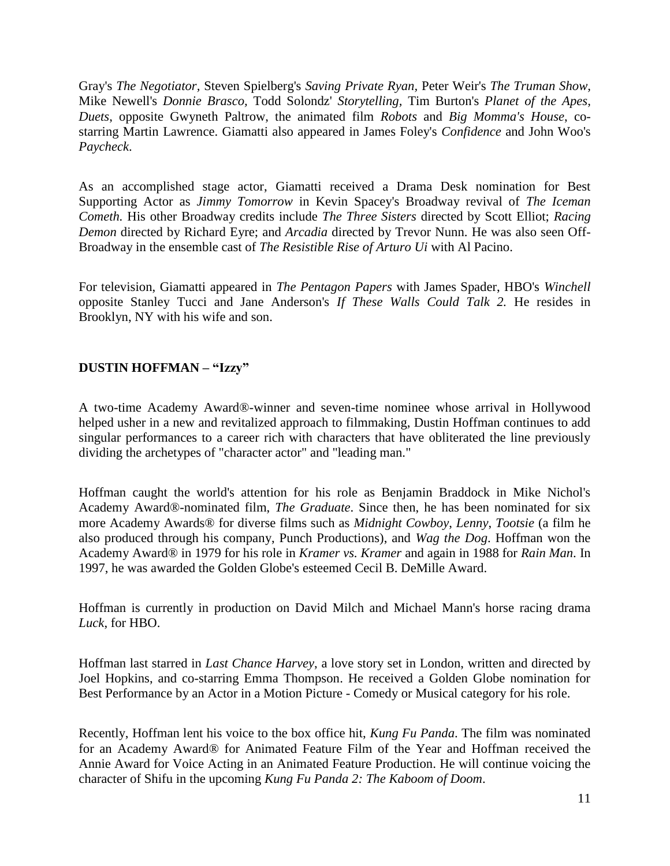Gray's *The Negotiator,* Steven Spielberg's *Saving Private Ryan,* Peter Weir's *The Truman Show,* Mike Newell's *Donnie Brasco,* Todd Solondz' *Storytelling,* Tim Burton's *Planet of the Apes, Duets*, opposite Gwyneth Paltrow, the animated film *Robots* and *Big Momma's House*, costarring Martin Lawrence. Giamatti also appeared in James Foley's *Confidence* and John Woo's *Paycheck*.

As an accomplished stage actor, Giamatti received a Drama Desk nomination for Best Supporting Actor as *Jimmy Tomorrow* in Kevin Spacey's Broadway revival of *The Iceman Cometh.* His other Broadway credits include *The Three Sisters* directed by Scott Elliot; *Racing Demon* directed by Richard Eyre; and *Arcadia* directed by Trevor Nunn. He was also seen Off-Broadway in the ensemble cast of *The Resistible Rise of Arturo Ui* with Al Pacino.

For television, Giamatti appeared in *The Pentagon Papers* with James Spader, HBO's *Winchell* opposite Stanley Tucci and Jane Anderson's *If These Walls Could Talk 2.* He resides in Brooklyn, NY with his wife and son.

#### **DUSTIN HOFFMAN – "Izzy"**

A two-time Academy Award®-winner and seven-time nominee whose arrival in Hollywood helped usher in a new and revitalized approach to filmmaking, Dustin Hoffman continues to add singular performances to a career rich with characters that have obliterated the line previously dividing the archetypes of "character actor" and "leading man."

Hoffman caught the world's attention for his role as Benjamin Braddock in Mike Nichol's Academy Award®-nominated film, *The Graduate*. Since then, he has been nominated for six more Academy Awards® for diverse films such as *Midnight Cowboy*, *Lenny*, *Tootsie* (a film he also produced through his company, Punch Productions), and *Wag the Dog*. Hoffman won the Academy Award® in 1979 for his role in *Kramer vs. Kramer* and again in 1988 for *Rain Man*. In 1997, he was awarded the Golden Globe's esteemed Cecil B. DeMille Award.

Hoffman is currently in production on David Milch and Michael Mann's horse racing drama *Luck*, for HBO.

Hoffman last starred in *Last Chance Harvey*, a love story set in London, written and directed by Joel Hopkins, and co-starring Emma Thompson. He received a Golden Globe nomination for Best Performance by an Actor in a Motion Picture - Comedy or Musical category for his role.

Recently, Hoffman lent his voice to the box office hit, *Kung Fu Panda*. The film was nominated for an Academy Award® for Animated Feature Film of the Year and Hoffman received the Annie Award for Voice Acting in an Animated Feature Production. He will continue voicing the character of Shifu in the upcoming *Kung Fu Panda 2: The Kaboom of Doom*.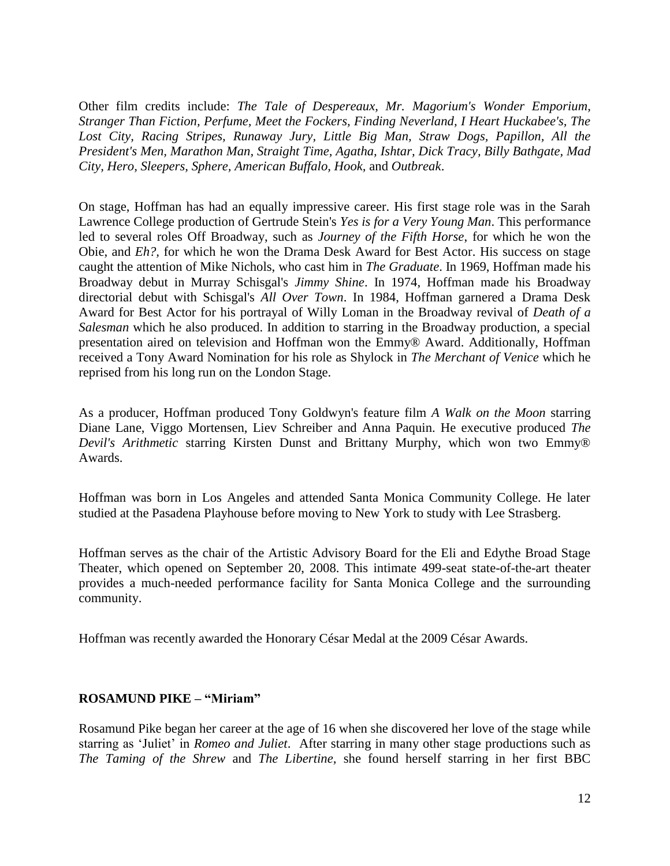Other film credits include: *The Tale of Despereaux, Mr. Magorium's Wonder Emporium, Stranger Than Fiction, Perfume, Meet the Fockers, Finding Neverland, I Heart Huckabee's, The Lost City, Racing Stripes, Runaway Jury, Little Big Man, Straw Dogs, Papillon, All the President's Men, Marathon Man, Straight Time, Agatha, Ishtar, Dick Tracy, Billy Bathgate, Mad City, Hero, Sleepers, Sphere, American Buffalo, Hook,* and *Outbreak*.

On stage, Hoffman has had an equally impressive career. His first stage role was in the Sarah Lawrence College production of Gertrude Stein's *Yes is for a Very Young Man*. This performance led to several roles Off Broadway, such as *Journey of the Fifth Horse*, for which he won the Obie, and *Eh?,* for which he won the Drama Desk Award for Best Actor. His success on stage caught the attention of Mike Nichols, who cast him in *The Graduate*. In 1969, Hoffman made his Broadway debut in Murray Schisgal's *Jimmy Shine*. In 1974, Hoffman made his Broadway directorial debut with Schisgal's *All Over Town*. In 1984, Hoffman garnered a Drama Desk Award for Best Actor for his portrayal of Willy Loman in the Broadway revival of *Death of a Salesman* which he also produced. In addition to starring in the Broadway production, a special presentation aired on television and Hoffman won the Emmy® Award. Additionally, Hoffman received a Tony Award Nomination for his role as Shylock in *The Merchant of Venice* which he reprised from his long run on the London Stage.

As a producer, Hoffman produced Tony Goldwyn's feature film *A Walk on the Moon* starring Diane Lane, Viggo Mortensen, Liev Schreiber and Anna Paquin. He executive produced *The Devil's Arithmetic* starring Kirsten Dunst and Brittany Murphy, which won two Emmy® Awards.

Hoffman was born in Los Angeles and attended Santa Monica Community College. He later studied at the Pasadena Playhouse before moving to New York to study with Lee Strasberg.

Hoffman serves as the chair of the Artistic Advisory Board for the Eli and Edythe Broad Stage Theater, which opened on September 20, 2008. This intimate 499-seat state-of-the-art theater provides a much-needed performance facility for Santa Monica College and the surrounding community.

Hoffman was recently awarded the Honorary César Medal at the 2009 César Awards.

#### **ROSAMUND PIKE – "Miriam"**

Rosamund Pike began her career at the age of 16 when she discovered her love of the stage while starring as ‗Juliet' in *Romeo and Juliet*. After starring in many other stage productions such as *The Taming of the Shrew* and *The Libertine,* she found herself starring in her first BBC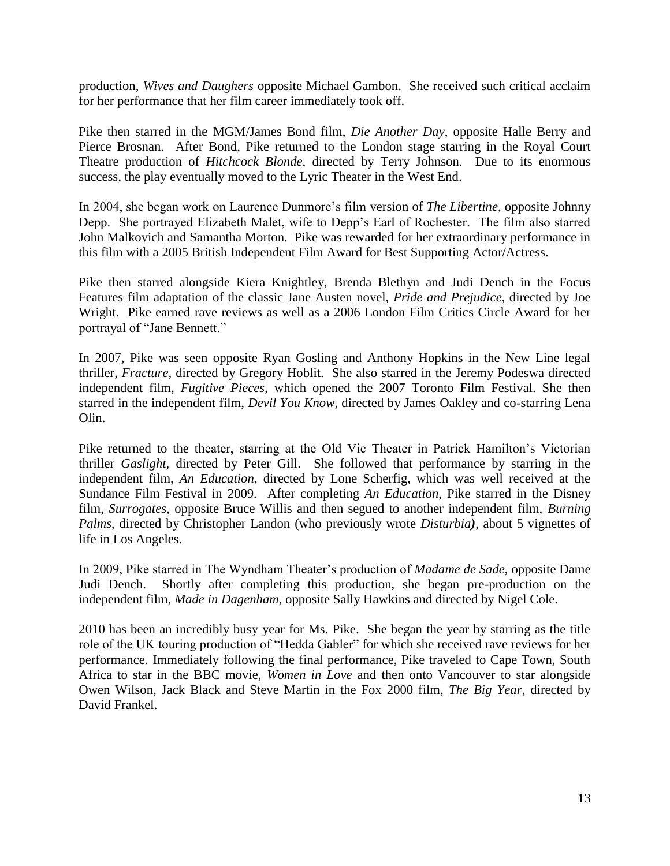production, *Wives and Daughers* opposite Michael Gambon. She received such critical acclaim for her performance that her film career immediately took off.

Pike then starred in the MGM/James Bond film, *Die Another Day*, opposite Halle Berry and Pierce Brosnan. After Bond, Pike returned to the London stage starring in the Royal Court Theatre production of *Hitchcock Blonde,* directed by Terry Johnson. Due to its enormous success, the play eventually moved to the Lyric Theater in the West End.

In 2004, she began work on Laurence Dunmore's film version of *The Libertine*, opposite Johnny Depp. She portrayed Elizabeth Malet, wife to Depp's Earl of Rochester. The film also starred John Malkovich and Samantha Morton. Pike was rewarded for her extraordinary performance in this film with a 2005 British Independent Film Award for Best Supporting Actor/Actress.

Pike then starred alongside Kiera Knightley, Brenda Blethyn and Judi Dench in the Focus Features film adaptation of the classic Jane Austen novel, *Pride and Prejudice*, directed by Joe Wright. Pike earned rave reviews as well as a 2006 London Film Critics Circle Award for her portrayal of "Jane Bennett."

In 2007, Pike was seen opposite Ryan Gosling and Anthony Hopkins in the New Line legal thriller, *Fracture*, directed by Gregory Hoblit. She also starred in the Jeremy Podeswa directed independent film, *Fugitive Pieces*, which opened the 2007 Toronto Film Festival. She then starred in the independent film, *Devil You Know*, directed by James Oakley and co-starring Lena Olin.

Pike returned to the theater, starring at the Old Vic Theater in Patrick Hamilton's Victorian thriller *Gaslight,* directed by Peter Gill. She followed that performance by starring in the independent film, *An Education*, directed by Lone Scherfig, which was well received at the Sundance Film Festival in 2009. After completing *An Education*, Pike starred in the Disney film, *Surrogates*, opposite Bruce Willis and then segued to another independent film, *Burning Palms*, directed by Christopher Landon (who previously wrote *Disturbia)*, about 5 vignettes of life in Los Angeles.

In 2009, Pike starred in The Wyndham Theater's production of *Madame de Sade*, opposite Dame Judi Dench. Shortly after completing this production, she began pre-production on the independent film, *Made in Dagenham*, opposite Sally Hawkins and directed by Nigel Cole.

2010 has been an incredibly busy year for Ms. Pike. She began the year by starring as the title role of the UK touring production of "Hedda Gabler" for which she received rave reviews for her performance. Immediately following the final performance, Pike traveled to Cape Town, South Africa to star in the BBC movie, *Women in Love* and then onto Vancouver to star alongside Owen Wilson, Jack Black and Steve Martin in the Fox 2000 film, *The Big Year*, directed by David Frankel.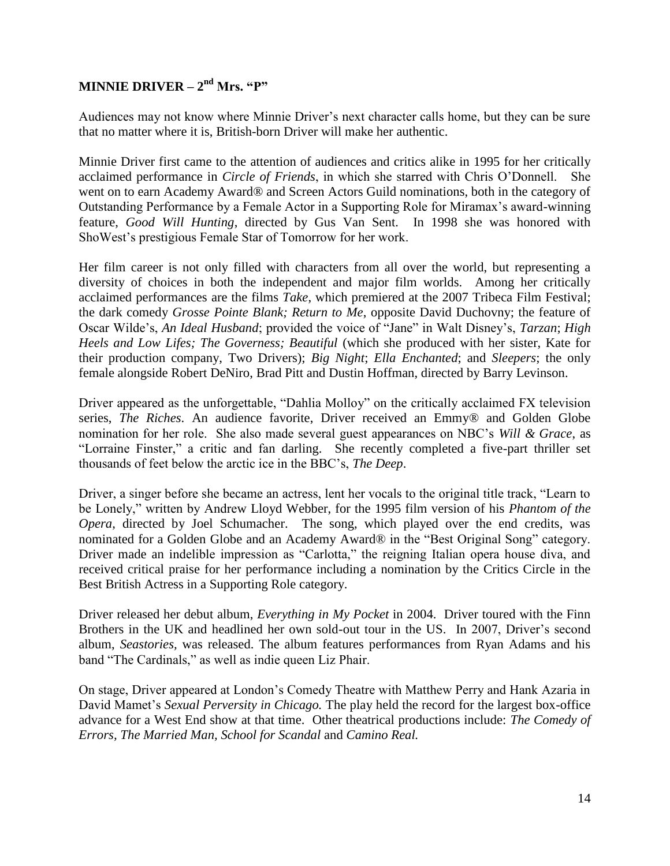#### **MINNIE DRIVER** –  $2^{\text{nd}}$  Mrs. "P"

Audiences may not know where Minnie Driver's next character calls home, but they can be sure that no matter where it is, British-born Driver will make her authentic.

Minnie Driver first came to the attention of audiences and critics alike in 1995 for her critically acclaimed performance in *Circle of Friends*, in which she starred with Chris O'Donnell. She went on to earn Academy Award® and Screen Actors Guild nominations, both in the category of Outstanding Performance by a Female Actor in a Supporting Role for Miramax's award-winning feature, *Good Will Hunting*, directed by Gus Van Sent. In 1998 she was honored with ShoWest's prestigious Female Star of Tomorrow for her work.

Her film career is not only filled with characters from all over the world, but representing a diversity of choices in both the independent and major film worlds. Among her critically acclaimed performances are the films *Take*, which premiered at the 2007 Tribeca Film Festival; the dark comedy *Grosse Pointe Blank; Return to Me*, opposite David Duchovny; the feature of Oscar Wilde's, *An Ideal Husband*; provided the voice of "Jane" in Walt Disney's, *Tarzan*; *High Heels and Low Lifes; The Governess; Beautiful* (which she produced with her sister, Kate for their production company, Two Drivers); *Big Night*; *Ella Enchanted*; and *Sleepers*; the only female alongside Robert DeNiro, Brad Pitt and Dustin Hoffman, directed by Barry Levinson.

Driver appeared as the unforgettable, "Dahlia Molloy" on the critically acclaimed FX television series, *The Riches*. An audience favorite, Driver received an Emmy® and Golden Globe nomination for her role. She also made several guest appearances on NBC's *Will & Grace*, as ―Lorraine Finster,‖ a critic and fan darling. She recently completed a five-part thriller set thousands of feet below the arctic ice in the BBC's, *The Deep*.

Driver, a singer before she became an actress, lent her vocals to the original title track, "Learn to be Lonely," written by Andrew Lloyd Webber, for the 1995 film version of his *Phantom of the Opera*, directed by Joel Schumacher. The song, which played over the end credits, was nominated for a Golden Globe and an Academy Award® in the "Best Original Song" category. Driver made an indelible impression as "Carlotta," the reigning Italian opera house diva, and received critical praise for her performance including a nomination by the Critics Circle in the Best British Actress in a Supporting Role category.

Driver released her debut album, *Everything in My Pocket* in 2004. Driver toured with the Finn Brothers in the UK and headlined her own sold-out tour in the US. In 2007, Driver's second album, *Seastories,* was released. The album features performances from Ryan Adams and his band "The Cardinals," as well as indie queen Liz Phair.

On stage, Driver appeared at London's Comedy Theatre with Matthew Perry and Hank Azaria in David Mamet's *Sexual Perversity in Chicago.* The play held the record for the largest box-office advance for a West End show at that time. Other theatrical productions include: *The Comedy of Errors, The Married Man, School for Scandal* and *Camino Real.*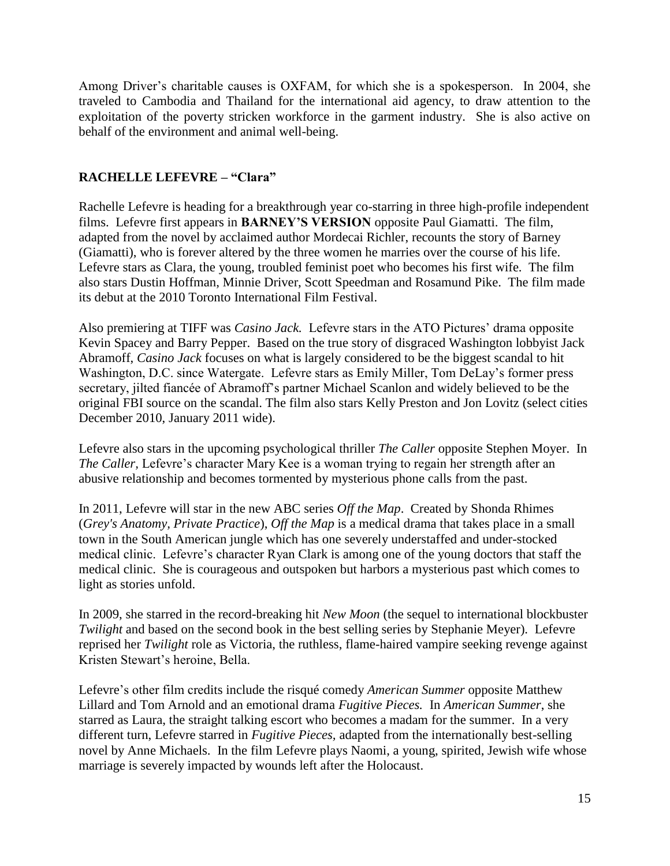Among Driver's charitable causes is OXFAM, for which she is a spokesperson. In 2004, she traveled to Cambodia and Thailand for the international aid agency, to draw attention to the exploitation of the poverty stricken workforce in the garment industry. She is also active on behalf of the environment and animal well-being.

#### **RACHELLE LEFEVRE – "Clara"**

Rachelle Lefevre is heading for a breakthrough year co-starring in three high-profile independent films. Lefevre first appears in **BARNEY'S VERSION** opposite Paul Giamatti. The film, adapted from the novel by acclaimed author Mordecai Richler, recounts the story of Barney (Giamatti), who is forever altered by the three women he marries over the course of his life. Lefevre stars as Clara, the young, troubled feminist poet who becomes his first wife. The film also stars Dustin Hoffman, Minnie Driver, Scott Speedman and Rosamund Pike. The film made its debut at the 2010 Toronto International Film Festival.

Also premiering at TIFF was *Casino Jack.* Lefevre stars in the ATO Pictures' drama opposite Kevin Spacey and Barry Pepper. Based on the true story of disgraced Washington lobbyist Jack Abramoff, *Casino Jack* focuses on what is largely considered to be the biggest scandal to hit Washington, D.C. since Watergate. Lefevre stars as Emily Miller, Tom DeLay's former press secretary, jilted fiancée of Abramoff's partner Michael Scanlon and widely believed to be the original FBI source on the scandal. The film also stars Kelly Preston and Jon Lovitz (select cities December 2010, January 2011 wide).

Lefevre also stars in the upcoming psychological thriller *The Caller* opposite Stephen Moyer. In *The Caller,* Lefevre's character Mary Kee is a woman trying to regain her strength after an abusive relationship and becomes tormented by mysterious phone calls from the past.

In 2011, Lefevre will star in the new ABC series *Off the Map*. Created by Shonda Rhimes (*Grey's Anatomy, Private Practice*), *Off the Map* is a medical drama that takes place in a small town in the South American jungle which has one severely understaffed and under-stocked medical clinic. Lefevre's character Ryan Clark is among one of the young doctors that staff the medical clinic. She is courageous and outspoken but harbors a mysterious past which comes to light as stories unfold.

In 2009, she starred in the record-breaking hit *New Moon* (the sequel to international blockbuster *Twilight* and based on the second book in the best selling series by Stephanie Meyer). Lefevre reprised her *Twilight* role as Victoria, the ruthless, flame-haired vampire seeking revenge against Kristen Stewart's heroine, Bella.

Lefevre's other film credits include the risqué comedy *American Summer* opposite Matthew Lillard and Tom Arnold and an emotional drama *Fugitive Pieces.* In *American Summer*, she starred as Laura, the straight talking escort who becomes a madam for the summer. In a very different turn, Lefevre starred in *Fugitive Pieces,* adapted from the internationally best-selling novel by Anne Michaels. In the film Lefevre plays Naomi, a young, spirited, Jewish wife whose marriage is severely impacted by wounds left after the Holocaust.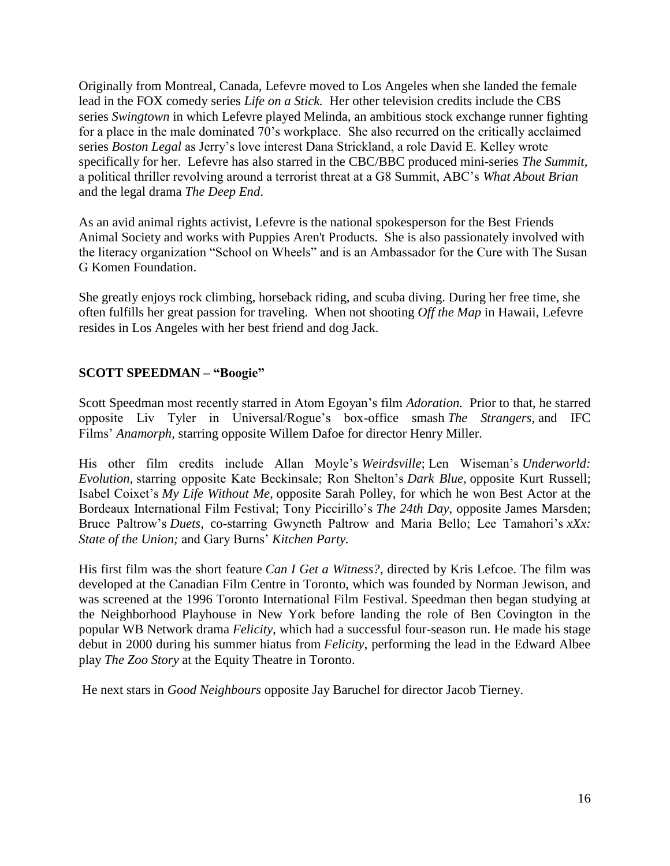Originally from Montreal, Canada, Lefevre moved to Los Angeles when she landed the female lead in the FOX comedy series *Life on a Stick.* Her other television credits include the CBS series *Swingtown* in which Lefevre played Melinda, an ambitious stock exchange runner fighting for a place in the male dominated 70's workplace. She also recurred on the critically acclaimed series *Boston Legal* as Jerry's love interest Dana Strickland, a role David E. Kelley wrote specifically for her. Lefevre has also starred in the CBC/BBC produced mini-series *The Summit*, a political thriller revolving around a terrorist threat at a G8 Summit, ABC's *What About Brian* and the legal drama *The Deep End*.

As an avid animal rights activist, Lefevre is the national spokesperson for the Best Friends Animal Society and works with Puppies Aren't Products. She is also passionately involved with the literacy organization "School on Wheels" and is an Ambassador for the Cure with The Susan G Komen Foundation.

She greatly enjoys rock climbing, horseback riding, and scuba diving. During her free time, she often fulfills her great passion for traveling. When not shooting *Off the Map* in Hawaii, Lefevre resides in Los Angeles with her best friend and dog Jack.

#### **SCOTT SPEEDMAN – "Boogie"**

Scott Speedman most recently starred in Atom Egoyan's film *Adoration.* Prior to that, he starred opposite Liv Tyler in Universal/Rogue's box-office smash *The Strangers*, and IFC Films' *Anamorph,* starring opposite Willem Dafoe for director Henry Miller.

His other film credits include Allan Moyle's *Weirdsville*; Len Wiseman's *Underworld: Evolution*, starring opposite Kate Beckinsale; Ron Shelton's *Dark Blue,* opposite Kurt Russell; Isabel Coixet's *My Life Without Me*, opposite Sarah Polley, for which he won Best Actor at the Bordeaux International Film Festival; Tony Piccirillo's *The 24th Day*, opposite James Marsden; Bruce Paltrow's *Duets*, co-starring Gwyneth Paltrow and Maria Bello; Lee Tamahori's *xXx: State of the Union;* and Gary Burns' *Kitchen Party.*

His first film was the short feature *Can I Get a Witness?*, directed by Kris Lefcoe. The film was developed at the Canadian Film Centre in Toronto, which was founded by Norman Jewison, and was screened at the 1996 Toronto International Film Festival. Speedman then began studying at the Neighborhood Playhouse in New York before landing the role of Ben Covington in the popular WB Network drama *Felicity*, which had a successful four-season run. He made his stage debut in 2000 during his summer hiatus from *Felicity*, performing the lead in the Edward Albee play *The Zoo Story* at the Equity Theatre in Toronto.

He next stars in *Good Neighbours* opposite Jay Baruchel for director Jacob Tierney.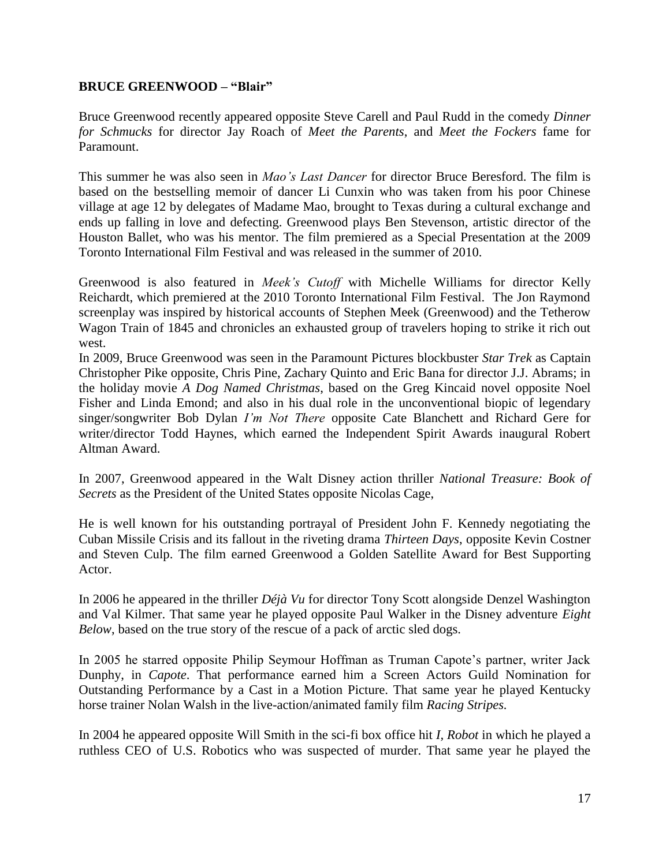#### **BRUCE GREENWOOD – "Blair"**

Bruce Greenwood recently appeared opposite Steve Carell and Paul Rudd in the comedy *Dinner for Schmucks* for director Jay Roach of *Meet the Parents*, and *Meet the Fockers* fame for Paramount.

This summer he was also seen in *Mao's Last Dancer* for director Bruce Beresford. The film is based on the bestselling memoir of dancer Li Cunxin who was taken from his poor Chinese village at age 12 by delegates of Madame Mao, brought to Texas during a cultural exchange and ends up falling in love and defecting. Greenwood plays Ben Stevenson, artistic director of the Houston Ballet, who was his mentor. The film premiered as a Special Presentation at the 2009 Toronto International Film Festival and was released in the summer of 2010.

Greenwood is also featured in *Meek's Cutoff* with Michelle Williams for director Kelly Reichardt, which premiered at the 2010 Toronto International Film Festival. The Jon Raymond screenplay was inspired by historical accounts of Stephen Meek (Greenwood) and the Tetherow Wagon Train of 1845 and chronicles an exhausted group of travelers hoping to strike it rich out west.

In 2009, Bruce Greenwood was seen in the Paramount Pictures blockbuster *Star Trek* as Captain Christopher Pike opposite, Chris Pine, Zachary Quinto and Eric Bana for director J.J. Abrams; in the holiday movie *A Dog Named Christmas*, based on the Greg Kincaid novel opposite Noel Fisher and Linda Emond; and also in his dual role in the unconventional biopic of legendary singer/songwriter Bob Dylan *I'm Not There* opposite Cate Blanchett and Richard Gere for writer/director Todd Haynes, which earned the Independent Spirit Awards inaugural Robert Altman Award.

In 2007, Greenwood appeared in the Walt Disney action thriller *National Treasure: Book of Secrets* as the President of the United States opposite Nicolas Cage,

He is well known for his outstanding portrayal of President John F. Kennedy negotiating the Cuban Missile Crisis and its fallout in the riveting drama *Thirteen Days*, opposite Kevin Costner and Steven Culp. The film earned Greenwood a Golden Satellite Award for Best Supporting Actor.

In 2006 he appeared in the thriller *Déjà Vu* for director Tony Scott alongside Denzel Washington and Val Kilmer. That same year he played opposite Paul Walker in the Disney adventure *Eight Below*, based on the true story of the rescue of a pack of arctic sled dogs.

In 2005 he starred opposite Philip Seymour Hoffman as Truman Capote's partner, writer Jack Dunphy, in *Capote*. That performance earned him a Screen Actors Guild Nomination for Outstanding Performance by a Cast in a Motion Picture. That same year he played Kentucky horse trainer Nolan Walsh in the live-action/animated family film *Racing Stripes.* 

In 2004 he appeared opposite Will Smith in the sci-fi box office hit *I, Robot* in which he played a ruthless CEO of U.S. Robotics who was suspected of murder. That same year he played the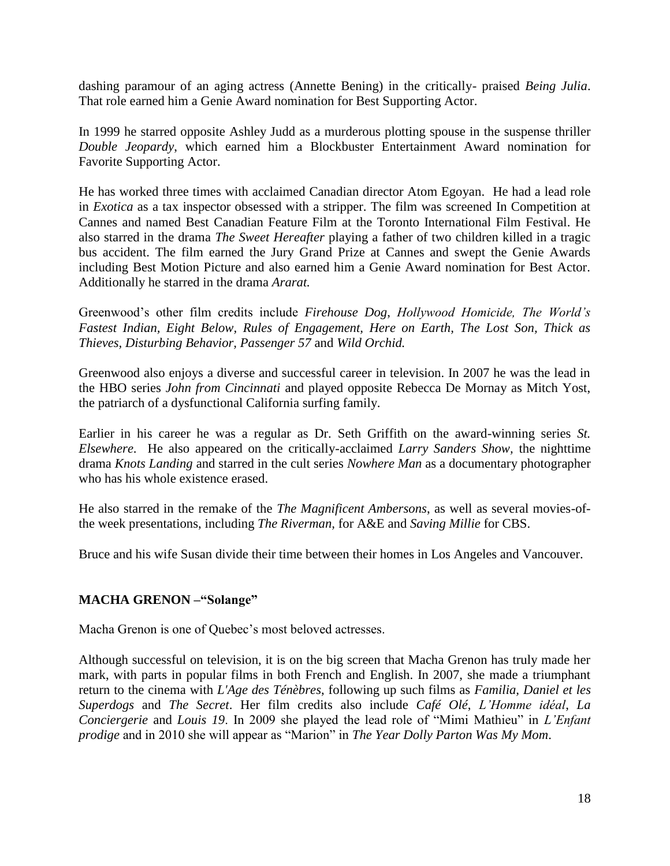dashing paramour of an aging actress (Annette Bening) in the critically- praised *Being Julia*. That role earned him a Genie Award nomination for Best Supporting Actor.

In 1999 he starred opposite Ashley Judd as a murderous plotting spouse in the suspense thriller *Double Jeopardy*, which earned him a Blockbuster Entertainment Award nomination for Favorite Supporting Actor.

He has worked three times with acclaimed Canadian director Atom Egoyan. He had a lead role in *Exotica* as a tax inspector obsessed with a stripper. The film was screened In Competition at Cannes and named Best Canadian Feature Film at the Toronto International Film Festival. He also starred in the drama *The Sweet Hereafter* playing a father of two children killed in a tragic bus accident. The film earned the Jury Grand Prize at Cannes and swept the Genie Awards including Best Motion Picture and also earned him a Genie Award nomination for Best Actor. Additionally he starred in the drama *Ararat.*

Greenwood's other film credits include *Firehouse Dog*, *Hollywood Homicide, The World's Fastest Indian, Eight Below, Rules of Engagement, Here on Earth, The Lost Son, Thick as Thieves, Disturbing Behavior, Passenger 57* and *Wild Orchid.*

Greenwood also enjoys a diverse and successful career in television. In 2007 he was the lead in the HBO series *John from Cincinnati* and played opposite Rebecca De Mornay as Mitch Yost, the patriarch of a dysfunctional California surfing family.

Earlier in his career he was a regular as Dr. Seth Griffith on the award-winning series *St. Elsewhere*. He also appeared on the critically-acclaimed *Larry Sanders Show,* the nighttime drama *Knots Landing* and starred in the cult series *Nowhere Man* as a documentary photographer who has his whole existence erased.

He also starred in the remake of the *The Magnificent Ambersons*, as well as several movies-ofthe week presentations, including *The Riverman,* for A&E and *Saving Millie* for CBS.

Bruce and his wife Susan divide their time between their homes in Los Angeles and Vancouver.

#### **MACHA GRENON –"Solange"**

Macha Grenon is one of Quebec's most beloved actresses.

Although successful on television, it is on the big screen that Macha Grenon has truly made her mark, with parts in popular films in both French and English. In 2007, she made a triumphant return to the cinema with *L'Age des Ténèbres*, following up such films as *Familia, Daniel et les Superdogs* and *The Secret*. Her film credits also include *Café Olé*, *L'Homme idéal*, *La Conciergerie* and *Louis 19*. In 2009 she played the lead role of "Mimi Mathieu" in *L'Enfant prodige* and in 2010 she will appear as "Marion" in *The Year Dolly Parton Was My Mom.*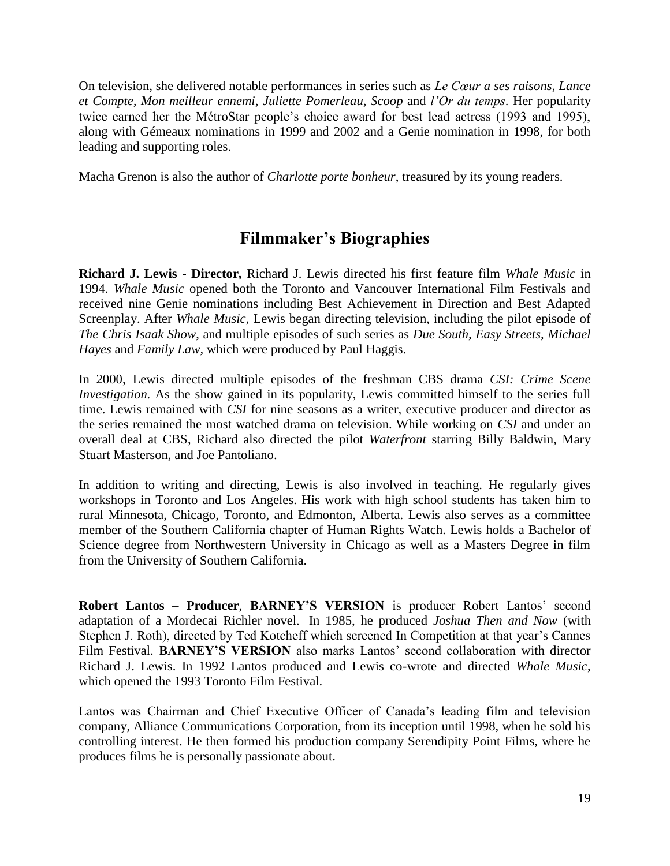On television, she delivered notable performances in series such as *Le Cœur a ses raisons*, *Lance et Compte, Mon meilleur ennemi*, *Juliette Pomerleau*, *Scoop* and *l'Or du temps*. Her popularity twice earned her the MétroStar people's choice award for best lead actress (1993 and 1995), along with Gémeaux nominations in 1999 and 2002 and a Genie nomination in 1998, for both leading and supporting roles.

Macha Grenon is also the author of *Charlotte porte bonheur*, treasured by its young readers.

## **Filmmaker's Biographies**

**Richard J. Lewis - Director,** Richard J. Lewis directed his first feature film *Whale Music* in 1994. *Whale Music* opened both the Toronto and Vancouver International Film Festivals and received nine Genie nominations including Best Achievement in Direction and Best Adapted Screenplay. After *Whale Music*, Lewis began directing television, including the pilot episode of *The Chris Isaak Show*, and multiple episodes of such series as *Due South, Easy Streets, Michael Hayes* and *Family Law,* which were produced by Paul Haggis.

In 2000, Lewis directed multiple episodes of the freshman CBS drama *CSI: Crime Scene Investigation.* As the show gained in its popularity, Lewis committed himself to the series full time. Lewis remained with *CSI* for nine seasons as a writer, executive producer and director as the series remained the most watched drama on television. While working on *CSI* and under an overall deal at CBS, Richard also directed the pilot *Waterfront* starring Billy Baldwin, Mary Stuart Masterson, and Joe Pantoliano.

In addition to writing and directing, Lewis is also involved in teaching. He regularly gives workshops in Toronto and Los Angeles. His work with high school students has taken him to rural Minnesota, Chicago, Toronto, and Edmonton, Alberta. Lewis also serves as a committee member of the Southern California chapter of Human Rights Watch. Lewis holds a Bachelor of Science degree from Northwestern University in Chicago as well as a Masters Degree in film from the University of Southern California.

**Robert Lantos – Producer**, **BARNEY'S VERSION** is producer Robert Lantos' second adaptation of a Mordecai Richler novel. In 1985, he produced *Joshua Then and Now* (with Stephen J. Roth), directed by Ted Kotcheff which screened In Competition at that year's Cannes Film Festival. **BARNEY'S VERSION** also marks Lantos' second collaboration with director Richard J. Lewis. In 1992 Lantos produced and Lewis co-wrote and directed *Whale Music*, which opened the 1993 Toronto Film Festival.

Lantos was Chairman and Chief Executive Officer of Canada's leading film and television company, Alliance Communications Corporation, from its inception until 1998, when he sold his controlling interest. He then formed his production company Serendipity Point Films, where he produces films he is personally passionate about.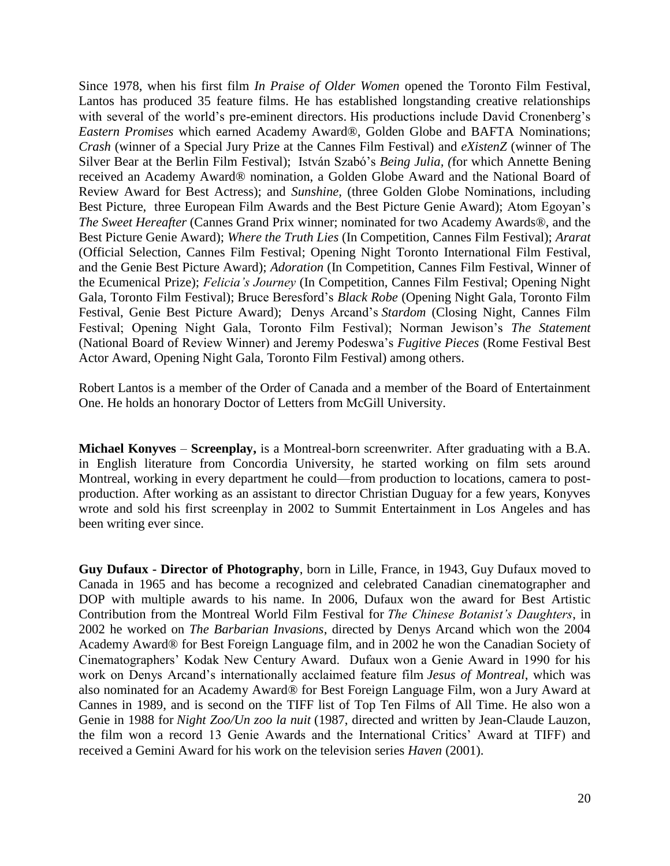Since 1978, when his first film *In Praise of Older Women* opened the Toronto Film Festival, Lantos has produced 35 feature films. He has established longstanding creative relationships with several of the world's pre-eminent directors. His productions include David Cronenberg's *Eastern Promises* which earned Academy Award®, Golden Globe and BAFTA Nominations; *Crash* (winner of a Special Jury Prize at the Cannes Film Festival) and *eXistenZ* (winner of The Silver Bear at the Berlin Film Festival); István Szabó's *Being Julia, (*for which Annette Bening received an Academy Award® nomination, a Golden Globe Award and the National Board of Review Award for Best Actress); and *Sunshine,* (three Golden Globe Nominations, including Best Picture, three European Film Awards and the Best Picture Genie Award); Atom Egoyan's *The Sweet Hereafter* (Cannes Grand Prix winner; nominated for two Academy Awards®, and the Best Picture Genie Award); *Where the Truth Lies* (In Competition, Cannes Film Festival); *Ararat*  (Official Selection, Cannes Film Festival; Opening Night Toronto International Film Festival, and the Genie Best Picture Award); *Adoration* (In Competition, Cannes Film Festival, Winner of the Ecumenical Prize); *Felicia's Journey* (In Competition, Cannes Film Festival; Opening Night Gala, Toronto Film Festival); Bruce Beresford's *Black Robe* (Opening Night Gala, Toronto Film Festival, Genie Best Picture Award); Denys Arcand's *Stardom* (Closing Night, Cannes Film Festival; Opening Night Gala, Toronto Film Festival); Norman Jewison's *The Statement* (National Board of Review Winner) and Jeremy Podeswa's *Fugitive Pieces* (Rome Festival Best Actor Award, Opening Night Gala, Toronto Film Festival) among others.

Robert Lantos is a member of the Order of Canada and a member of the Board of Entertainment One. He holds an honorary Doctor of Letters from McGill University.

**Michael Konyves** – **Screenplay,** is a Montreal-born screenwriter. After graduating with a B.A. in English literature from Concordia University, he started working on film sets around Montreal, working in every department he could—from production to locations, camera to postproduction. After working as an assistant to director Christian Duguay for a few years, Konyves wrote and sold his first screenplay in 2002 to Summit Entertainment in Los Angeles and has been writing ever since.

**Guy Dufaux - Director of Photography**, born in Lille, France, in 1943, Guy Dufaux moved to Canada in 1965 and has become a recognized and celebrated Canadian cinematographer and DOP with multiple awards to his name. In 2006, Dufaux won the award for Best Artistic Contribution from the Montreal World Film Festival for *The Chinese Botanist's Daughters*, in 2002 he worked on *The Barbarian Invasions*, directed by Denys Arcand which won the 2004 Academy Award® for Best Foreign Language film, and in 2002 he won the Canadian Society of Cinematographers' Kodak New Century Award. Dufaux won a Genie Award in 1990 for his work on Denys Arcand's internationally acclaimed feature film *Jesus of Montreal*, which was also nominated for an Academy Award® for Best Foreign Language Film, won a Jury Award at Cannes in 1989, and is second on the TIFF list of Top Ten Films of All Time. He also won a Genie in 1988 for *Night Zoo/Un zoo la nuit* (1987, directed and written by Jean-Claude Lauzon, the film won a record 13 Genie Awards and the International Critics' Award at TIFF) and received a Gemini Award for his work on the television series *Haven* (2001).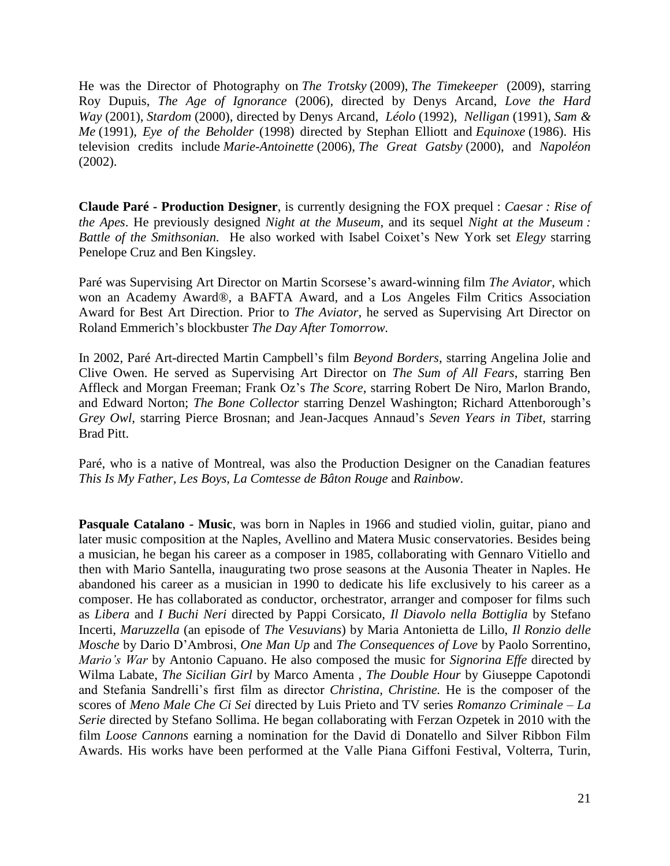He was the Director of Photography on *The Trotsky* (2009), *The Timekeeper* (2009), starring Roy Dupuis, *The Age of Ignorance* (2006), directed by Denys Arcand, *Love the Hard Way* (2001), *Stardom* (2000), directed by Denys Arcand, *Léolo* (1992), *Nelligan* (1991), *Sam & Me* (1991), *Eye of the Beholder* (1998) directed by Stephan Elliott and *Equinoxe* (1986). His television credits include *Marie-Antoinette* (2006), *The Great Gatsby* (2000), and *Napoléon* (2002).

**Claude Paré - Production Designer**, is currently designing the FOX prequel : *Caesar : Rise of the Apes*. He previously designed *Night at the Museum*, and its sequel *Night at the Museum : Battle of the Smithsonian.* He also worked with Isabel Coixet's New York set *Elegy* starring Penelope Cruz and Ben Kingsley.

Paré was Supervising Art Director on Martin Scorsese's award-winning film *The Aviator*, which won an Academy Award®, a BAFTA Award, and a Los Angeles Film Critics Association Award for Best Art Direction. Prior to *The Aviator*, he served as Supervising Art Director on Roland Emmerich's blockbuster *The Day After Tomorrow.*

In 2002, Paré Art-directed Martin Campbell's film *Beyond Borders*, starring Angelina Jolie and Clive Owen. He served as Supervising Art Director on *The Sum of All Fears*, starring Ben Affleck and Morgan Freeman; Frank Oz's *The Score*, starring Robert De Niro, Marlon Brando, and Edward Norton; *The Bone Collector* starring Denzel Washington; Richard Attenborough's *Grey Owl,* starring Pierce Brosnan; and Jean-Jacques Annaud's *Seven Years in Tibet*, starring Brad Pitt.

Paré, who is a native of Montreal, was also the Production Designer on the Canadian features *This Is My Father, Les Boys, La Comtesse de Bâton Rouge* and *Rainbow*.

**Pasquale Catalano - Music**, was born in Naples in 1966 and studied violin, guitar, piano and later music composition at the Naples, Avellino and Matera Music conservatories. Besides being a musician, he began his career as a composer in 1985, collaborating with Gennaro Vitiello and then with Mario Santella, inaugurating two prose seasons at the Ausonia Theater in Naples. He abandoned his career as a musician in 1990 to dedicate his life exclusively to his career as a composer. He has collaborated as conductor, orchestrator, arranger and composer for films such as *Libera* and *I Buchi Neri* directed by Pappi Corsicato, *Il Diavolo nella Bottiglia* by Stefano Incerti, *Maruzzella* (an episode of *The Vesuvians*) by Maria Antonietta de Lillo, *Il Ronzio delle Mosche* by Dario D'Ambrosi, *One Man Up* and *The Consequences of Love* by Paolo Sorrentino, *Mario's War* by Antonio Capuano. He also composed the music for *Signorina Effe* directed by Wilma Labate, *The Sicilian Girl* by Marco Amenta , *The Double Hour* by Giuseppe Capotondi and Stefania Sandrelli's first film as director *Christina, Christine.* He is the composer of the scores of *Meno Male Che Ci Sei* directed by Luis Prieto and TV series *Romanzo Criminale – La Serie* directed by Stefano Sollima. He began collaborating with Ferzan Ozpetek in 2010 with the film *Loose Cannons* earning a nomination for the David di Donatello and Silver Ribbon Film Awards. His works have been performed at the Valle Piana Giffoni Festival, Volterra, Turin,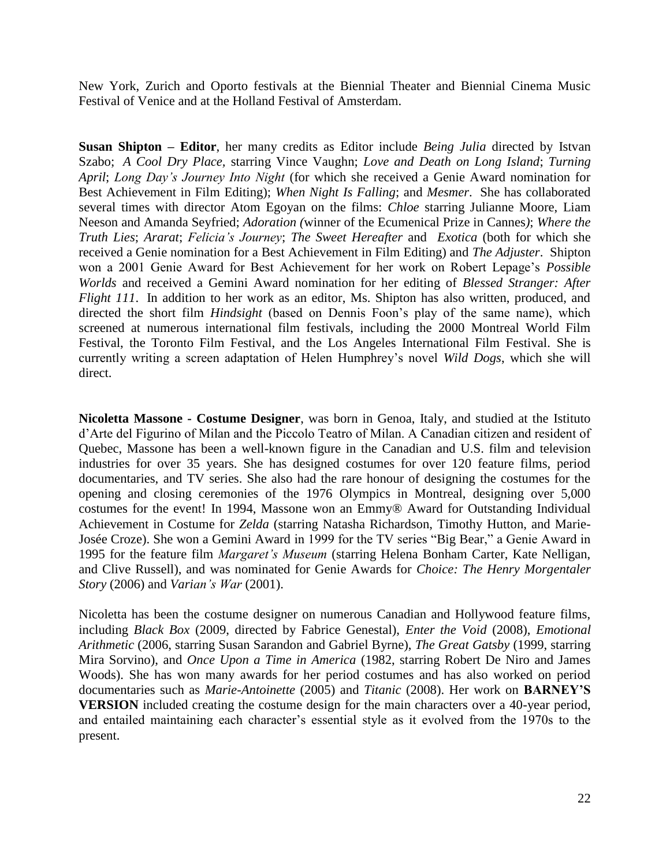New York, Zurich and Oporto festivals at the Biennial Theater and Biennial Cinema Music Festival of Venice and at the Holland Festival of Amsterdam.

**Susan Shipton – Editor**, her many credits as Editor include *Being Julia* directed by Istvan Szabo; *A Cool Dry Place,* starring Vince Vaughn; *Love and Death on Long Island*; *Turning April*; *Long Day's Journey Into Night* (for which she received a Genie Award nomination for Best Achievement in Film Editing); *When Night Is Falling*; and *Mesmer*. She has collaborated several times with director Atom Egoyan on the films: *Chloe* starring Julianne Moore, Liam Neeson and Amanda Seyfried; *Adoration (*winner of the Ecumenical Prize in Cannes*)*; *Where the Truth Lies*; *Ararat*; *Felicia's Journey*; *The Sweet Hereafter* and *Exotica* (both for which she received a Genie nomination for a Best Achievement in Film Editing) and *The Adjuster*. Shipton won a 2001 Genie Award for Best Achievement for her work on Robert Lepage's *Possible Worlds* and received a Gemini Award nomination for her editing of *Blessed Stranger: After Flight 111*. In addition to her work as an editor, Ms. Shipton has also written, produced, and directed the short film *Hindsight* (based on Dennis Foon's play of the same name), which screened at numerous international film festivals, including the 2000 Montreal World Film Festival, the Toronto Film Festival, and the Los Angeles International Film Festival. She is currently writing a screen adaptation of Helen Humphrey's novel *Wild Dogs*, which she will direct.

**Nicoletta Massone - Costume Designer**, was born in Genoa, Italy, and studied at the Istituto d'Arte del Figurino of Milan and the Piccolo Teatro of Milan. A Canadian citizen and resident of Quebec, Massone has been a well-known figure in the Canadian and U.S. film and television industries for over 35 years. She has designed costumes for over 120 feature films, period documentaries, and TV series. She also had the rare honour of designing the costumes for the opening and closing ceremonies of the 1976 Olympics in Montreal, designing over 5,000 costumes for the event! In 1994, Massone won an Emmy® Award for Outstanding Individual Achievement in Costume for *Zelda* (starring Natasha Richardson, Timothy Hutton, and Marie-Josée Croze). She won a Gemini Award in 1999 for the TV series "Big Bear," a Genie Award in 1995 for the feature film *Margaret's Museum* (starring Helena Bonham Carter, Kate Nelligan, and Clive Russell), and was nominated for Genie Awards for *Choice: The Henry Morgentaler Story* (2006) and *Varian's War* (2001).

Nicoletta has been the costume designer on numerous Canadian and Hollywood feature films, including *Black Box* (2009, directed by Fabrice Genestal), *Enter the Void* (2008), *Emotional Arithmetic* (2006, starring Susan Sarandon and Gabriel Byrne), *The Great Gatsby* (1999, starring Mira Sorvino), and *Once Upon a Time in America* (1982, starring Robert De Niro and James Woods). She has won many awards for her period costumes and has also worked on period documentaries such as *Marie-Antoinette* (2005) and *Titanic* (2008). Her work on **BARNEY'S VERSION** included creating the costume design for the main characters over a 40-year period, and entailed maintaining each character's essential style as it evolved from the 1970s to the present.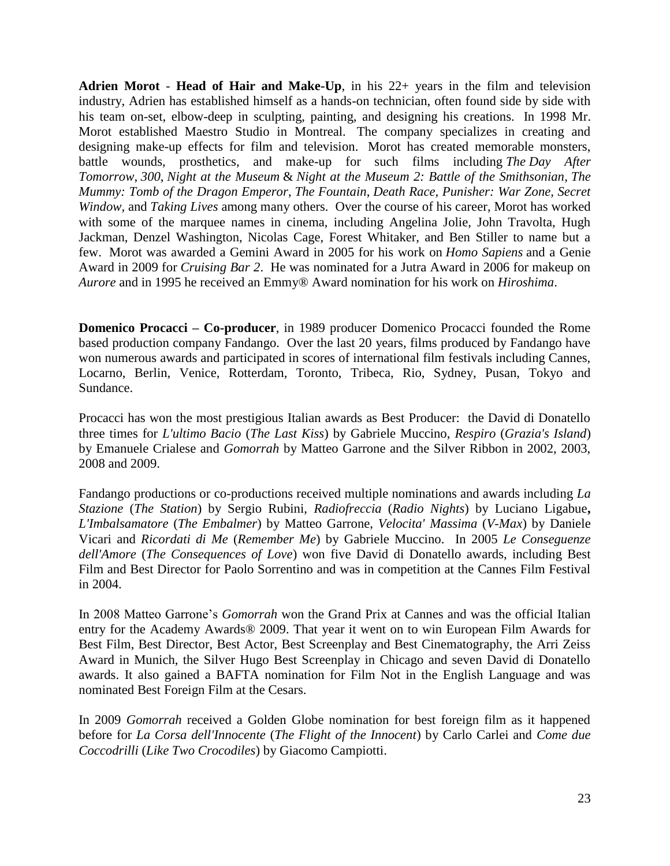**Adrien Morot** - **Head of Hair and Make-Up**, in his 22+ years in the film and television industry, Adrien has established himself as a hands-on technician, often found side by side with his team on-set, elbow-deep in sculpting, painting, and designing his creations. In 1998 Mr. Morot established Maestro Studio in Montreal. The company specializes in creating and designing make-up effects for film and television. Morot has created memorable monsters, battle wounds, prosthetics, and make-up for such films including *The Day After Tomorrow*, *300*, *Night at the Museum* & *Night at the Museum 2: Battle of the Smithsonian*, *The Mummy: Tomb of the Dragon Emperor*, *The Fountain*, *Death Race, Punisher: War Zone, Secret Window,* and *Taking Lives* among many others. Over the course of his career, Morot has worked with some of the marquee names in cinema, including Angelina Jolie, John Travolta, Hugh Jackman, Denzel Washington, Nicolas Cage, Forest Whitaker, and Ben Stiller to name but a few. Morot was awarded a Gemini Award in 2005 for his work on *Homo Sapiens* and a Genie Award in 2009 for *Cruising Bar 2*. He was nominated for a Jutra Award in 2006 for makeup on *Aurore* and in 1995 he received an Emmy® Award nomination for his work on *Hiroshima*.

**Domenico Procacci – Co-producer**, in 1989 producer Domenico Procacci founded the Rome based production company Fandango. Over the last 20 years, films produced by Fandango have won numerous awards and participated in scores of international film festivals including Cannes, Locarno, Berlin, Venice, Rotterdam, Toronto, Tribeca, Rio, Sydney, Pusan, Tokyo and Sundance.

Procacci has won the most prestigious Italian awards as Best Producer: the David di Donatello three times for *L'ultimo Bacio* (*The Last Kiss*) by Gabriele Muccino, *Respiro* (*Grazia's Island*) by Emanuele Crialese and *Gomorrah* by Matteo Garrone and the Silver Ribbon in 2002, 2003, 2008 and 2009.

Fandango productions or co-productions received multiple nominations and awards including *La Stazione* (*The Station*) by Sergio Rubini, *Radiofreccia* (*Radio Nights*) by Luciano Ligabue**,** *L'Imbalsamatore* (*The Embalmer*) by Matteo Garrone, *Velocita' Massima* (*V-Max*) by Daniele Vicari and *Ricordati di Me* (*Remember Me*) by Gabriele Muccino. In 2005 *Le Conseguenze dell'Amore* (*The Consequences of Love*) won five David di Donatello awards, including Best Film and Best Director for Paolo Sorrentino and was in competition at the Cannes Film Festival in 2004.

In 2008 Matteo Garrone's *Gomorrah* won the Grand Prix at Cannes and was the official Italian entry for the Academy Awards® 2009. That year it went on to win European Film Awards for Best Film, Best Director, Best Actor, Best Screenplay and Best Cinematography, the Arri Zeiss Award in Munich, the Silver Hugo Best Screenplay in Chicago and seven David di Donatello awards. It also gained a BAFTA nomination for Film Not in the English Language and was nominated Best Foreign Film at the Cesars.

In 2009 *Gomorrah* received a Golden Globe nomination for best foreign film as it happened before for *La Corsa dell'Innocente* (*The Flight of the Innocent*) by Carlo Carlei and *Come due Coccodrilli* (*Like Two Crocodiles*) by Giacomo Campiotti.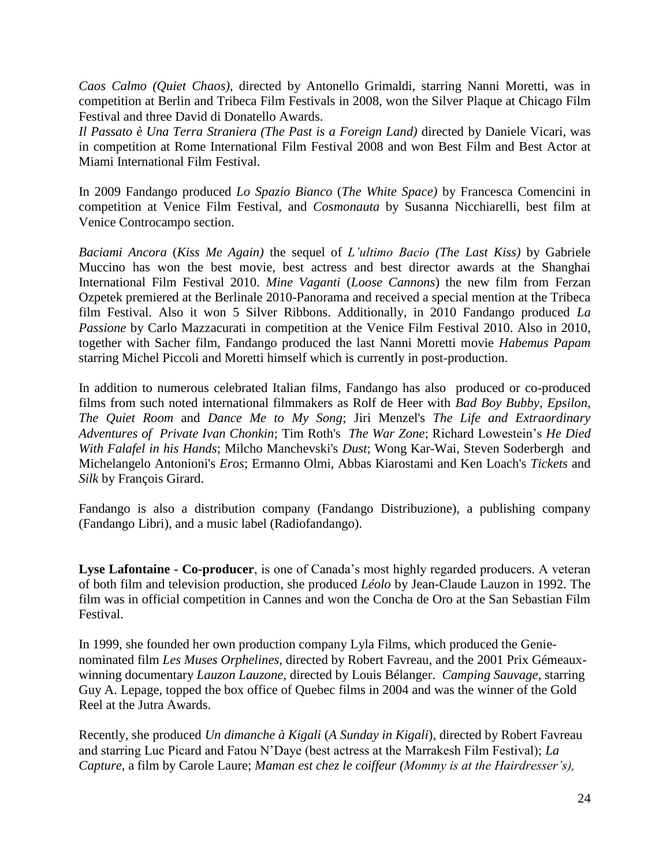*Caos Calmo (Quiet Chaos),* directed by Antonello Grimaldi, starring Nanni Moretti, was in competition at Berlin and Tribeca Film Festivals in 2008, won the Silver Plaque at Chicago Film Festival and three David di Donatello Awards.

*Il Passato è Una Terra Straniera (The Past is a Foreign Land)* directed by Daniele Vicari, was in competition at Rome International Film Festival 2008 and won Best Film and Best Actor at Miami International Film Festival.

In 2009 Fandango produced *Lo Spazio Bianco* (*The White Space)* by Francesca Comencini in competition at Venice Film Festival, and *Cosmonauta* by Susanna Nicchiarelli, best film at Venice Controcampo section.

*Baciami Ancora* (*Kiss Me Again)* the sequel of *L'ultimo Bacio (The Last Kiss)* by Gabriele Muccino has won the best movie, best actress and best director awards at the Shanghai International Film Festival 2010. *Mine Vaganti* (*Loose Cannons*) the new film from Ferzan Ozpetek premiered at the Berlinale 2010-Panorama and received a special mention at the Tribeca film Festival. Also it won 5 Silver Ribbons. Additionally, in 2010 Fandango produced *La Passione* by Carlo Mazzacurati in competition at the Venice Film Festival 2010. Also in 2010, together with Sacher film, Fandango produced the last Nanni Moretti movie *Habemus Papam* starring Michel Piccoli and Moretti himself which is currently in post-production.

In addition to numerous celebrated Italian films, Fandango has also produced or co-produced films from such noted international filmmakers as Rolf de Heer with *Bad Boy Bubby*, *Epsilon*, *The Quiet Room* and *Dance Me to My Song*; Jiri Menzel's *The Life and Extraordinary Adventures of Private Ivan Chonkin*; Tim Roth's *The War Zone*; Richard Lowestein's *He Died With Falafel in his Hands*; Milcho Manchevski's *Dust*; Wong Kar-Wai, Steven Soderbergh and Michelangelo Antonioni's *Eros*; Ermanno Olmi, Abbas Kiarostami and Ken Loach's *Tickets* and *Silk* by François Girard.

Fandango is also a distribution company (Fandango Distribuzione), a publishing company (Fandango Libri), and a music label (Radiofandango).

**Lyse Lafontaine - Co-producer**, is one of Canada's most highly regarded producers. A veteran of both film and television production, she produced *Léolo* by Jean-Claude Lauzon in 1992. The film was in official competition in Cannes and won the Concha de Oro at the San Sebastian Film Festival.

In 1999, she founded her own production company Lyla Films, which produced the Genienominated film *Les Muses Orphelines,* directed by Robert Favreau, and the 2001 Prix Gémeauxwinning documentary *Lauzon Lauzone,* directed by Louis Bélanger. *Camping Sauvage*, starring Guy A. Lepage, topped the box office of Quebec films in 2004 and was the winner of the Gold Reel at the Jutra Awards.

Recently, she produced *Un dimanche à Kigali* (*A Sunday in Kigali*), directed by Robert Favreau and starring Luc Picard and Fatou N'Daye (best actress at the Marrakesh Film Festival); *La Capture,* a film by Carole Laure; *Maman est chez le coiffeur (Mommy is at the Hairdresser's),*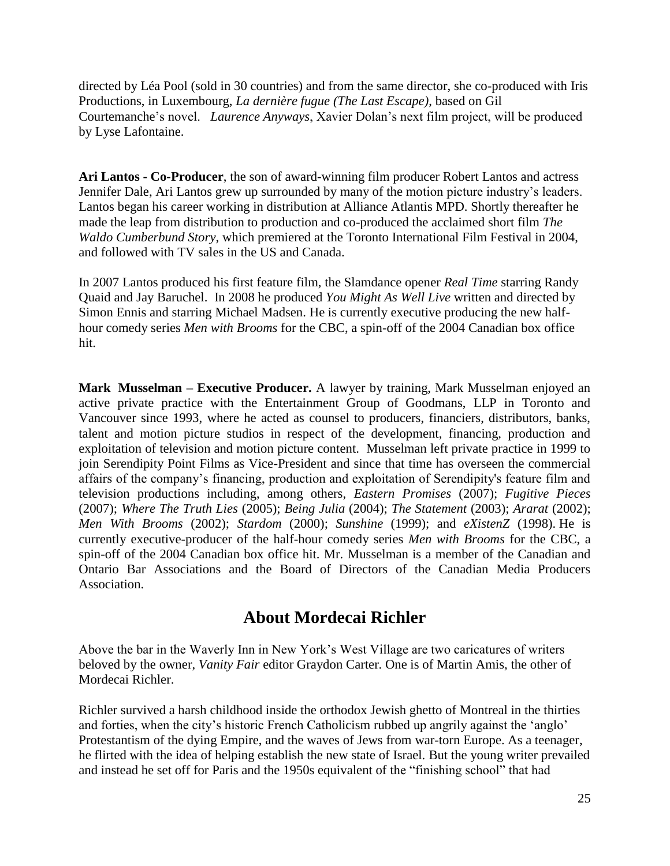directed by Léa Pool (sold in 30 countries) and from the same director, she co-produced with Iris Productions, in Luxembourg, *La dernière fugue (The Last Escape)*, based on Gil Courtemanche's novel. *Laurence Anyways*, Xavier Dolan's next film project, will be produced by Lyse Lafontaine.

**Ari Lantos - Co-Producer**, the son of award-winning film producer Robert Lantos and actress Jennifer Dale, Ari Lantos grew up surrounded by many of the motion picture industry's leaders. Lantos began his career working in distribution at Alliance Atlantis MPD. Shortly thereafter he made the leap from distribution to production and co-produced the acclaimed short film *The Waldo Cumberbund Story*, which premiered at the Toronto International Film Festival in 2004, and followed with TV sales in the US and Canada.

In 2007 Lantos produced his first feature film, the Slamdance opener *Real Time* starring Randy Quaid and Jay Baruchel. In 2008 he produced *You Might As Well Live* written and directed by Simon Ennis and starring Michael Madsen. He is currently executive producing the new halfhour comedy series *Men with Brooms* for the CBC, a spin-off of the 2004 Canadian box office hit.

**Mark Musselman – Executive Producer.** A lawyer by training, Mark Musselman enjoyed an active private practice with the Entertainment Group of Goodmans, LLP in Toronto and Vancouver since 1993, where he acted as counsel to producers, financiers, distributors, banks, talent and motion picture studios in respect of the development, financing, production and exploitation of television and motion picture content. Musselman left private practice in 1999 to join Serendipity Point Films as Vice-President and since that time has overseen the commercial affairs of the company's financing, production and exploitation of Serendipity's feature film and television productions including, among others, *Eastern Promises* (2007); *Fugitive Pieces* (2007); *Where The Truth Lies* (2005); *Being Julia* (2004); *The Statement* (2003); *Ararat* (2002); *Men With Brooms* (2002); *Stardom* (2000); *Sunshine* (1999); and *eXistenZ* (1998). He is currently executive-producer of the half-hour comedy series *Men with Brooms* for the CBC, a spin-off of the 2004 Canadian box office hit. Mr. Musselman is a member of the Canadian and Ontario Bar Associations and the Board of Directors of the Canadian Media Producers Association.

### **About Mordecai Richler**

Above the bar in the Waverly Inn in New York's West Village are two caricatures of writers beloved by the owner, *Vanity Fair* editor Graydon Carter. One is of Martin Amis, the other of Mordecai Richler.

Richler survived a harsh childhood inside the orthodox Jewish ghetto of Montreal in the thirties and forties, when the city's historic French Catholicism rubbed up angrily against the 'anglo' Protestantism of the dying Empire, and the waves of Jews from war-torn Europe. As a teenager, he flirted with the idea of helping establish the new state of Israel. But the young writer prevailed and instead he set off for Paris and the 1950s equivalent of the "finishing school" that had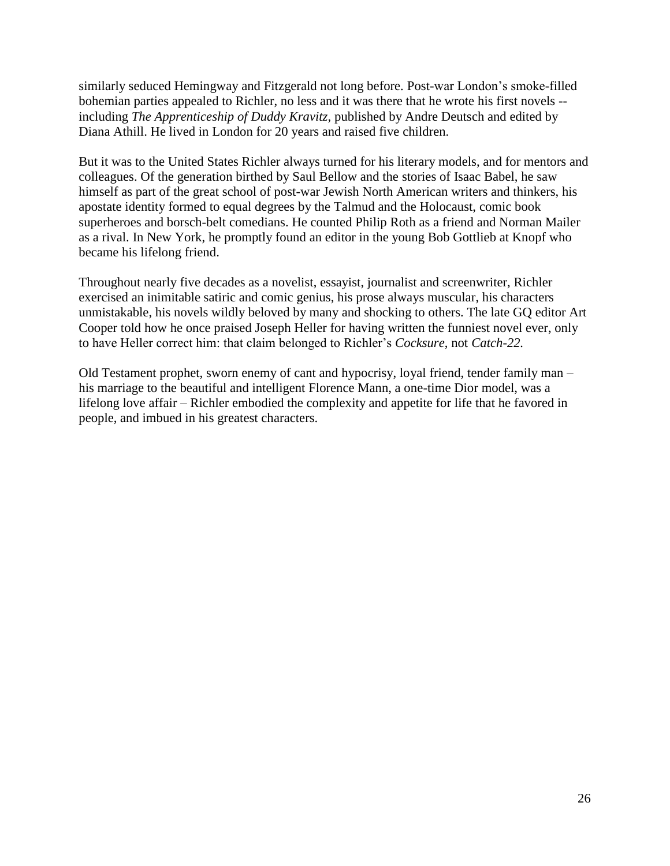similarly seduced Hemingway and Fitzgerald not long before. Post-war London's smoke-filled bohemian parties appealed to Richler, no less and it was there that he wrote his first novels - including *The Apprenticeship of Duddy Kravitz,* published by Andre Deutsch and edited by Diana Athill. He lived in London for 20 years and raised five children.

But it was to the United States Richler always turned for his literary models, and for mentors and colleagues. Of the generation birthed by Saul Bellow and the stories of Isaac Babel, he saw himself as part of the great school of post-war Jewish North American writers and thinkers, his apostate identity formed to equal degrees by the Talmud and the Holocaust, comic book superheroes and borsch-belt comedians. He counted Philip Roth as a friend and Norman Mailer as a rival. In New York, he promptly found an editor in the young Bob Gottlieb at Knopf who became his lifelong friend.

Throughout nearly five decades as a novelist, essayist, journalist and screenwriter, Richler exercised an inimitable satiric and comic genius, his prose always muscular, his characters unmistakable, his novels wildly beloved by many and shocking to others. The late GQ editor Art Cooper told how he once praised Joseph Heller for having written the funniest novel ever, only to have Heller correct him: that claim belonged to Richler's *Cocksure*, not *Catch-22.*

Old Testament prophet, sworn enemy of cant and hypocrisy, loyal friend, tender family man – his marriage to the beautiful and intelligent Florence Mann, a one-time Dior model, was a lifelong love affair – Richler embodied the complexity and appetite for life that he favored in people, and imbued in his greatest characters.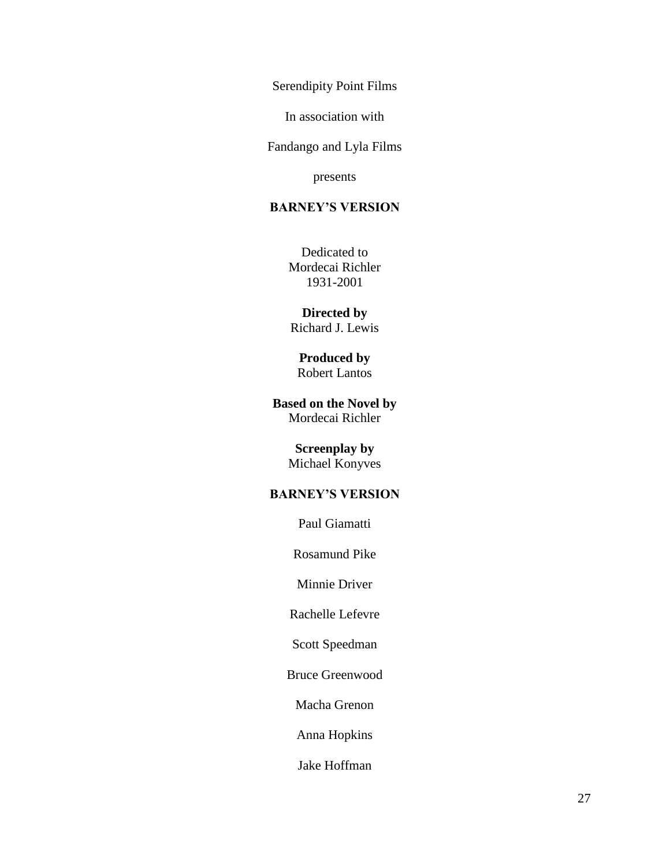Serendipity Point Films

In association with

Fandango and Lyla Films

presents

#### **BARNEY'S VERSION**

Dedicated to Mordecai Richler 1931-2001

**Directed by** Richard J. Lewis

#### **Produced by** Robert Lantos

**Based on the Novel by** Mordecai Richler

# **Screenplay by**

Michael Konyves

#### **BARNEY'S VERSION**

Paul Giamatti

Rosamund Pike

Minnie Driver

Rachelle Lefevre

Scott Speedman

Bruce Greenwood

Macha Grenon

Anna Hopkins

Jake Hoffman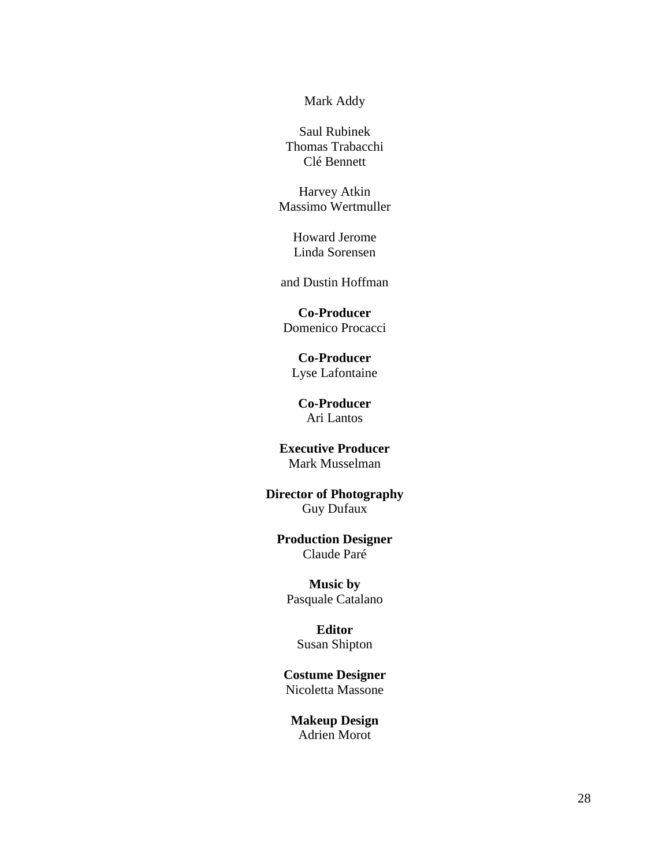Mark Addy

Saul Rubinek Thomas Trabacchi Clé Bennett

Harvey Atkin Massimo Wertmuller

> Howard Jerome Linda Sorensen

and Dustin Hoffman

**Co-Producer** Domenico Procacci

**Co-Producer** Lyse Lafontaine

**Co-Producer** Ari Lantos

**Executive Producer** Mark Musselman

**Director of Photography** Guy Dufaux

#### **Production Designer** Claude Paré

**Music by** Pasquale Catalano

> **Editor** Susan Shipton

**Costume Designer** Nicoletta Massone

**Makeup Design** Adrien Morot